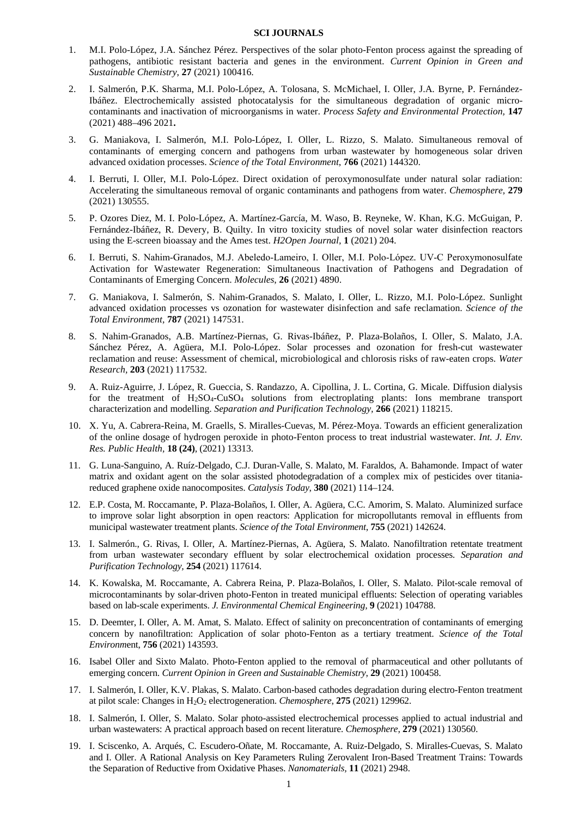## **SCI JOURNALS**

- 1. M.I. Polo-López, J.A. Sánchez Pérez. Perspectives of the solar photo-Fenton process against the spreading of pathogens, antibiotic resistant bacteria and genes in the environment. *Current Opinion in Green and Sustainable Chemistry*, **27** (2021) 100416.
- 2. I. Salmerón, P.K. Sharma, M.I. Polo-López, A. Tolosana, S. McMichael, I. Oller, J.A. Byrne, P. Fernández-Ibáñez. Electrochemically assisted photocatalysis for the simultaneous degradation of organic microcontaminants and inactivation of microorganisms in water. *Process Safety and Environmental Protection,* **147** (2021) 488–496 2021**.**
- 3. G. Maniakova, I. Salmerón, M.I. Polo-López, I. Oller, L. Rizzo, S. Malato. Simultaneous removal of contaminants of emerging concern and pathogens from urban wastewater by homogeneous solar driven advanced oxidation processes. *Science of the Total Environment*, **766** (2021) 144320.
- 4. I. Berruti, I. Oller, M.I. Polo-López. Direct oxidation of peroxymonosulfate under natural solar radiation: Accelerating the simultaneous removal of organic contaminants and pathogens from water. *Chemosphere,* **279** (2021) 130555.
- 5. P. Ozores Diez, M. I. Polo-López, A. Martínez-García, M. Waso, B. Reyneke, W. Khan, K.G. McGuigan, P. Fernández-Ibáñez, R. Devery, B. Quilty. In vitro toxicity studies of novel solar water disinfection reactors using the E-screen bioassay and the Ames test. *H2Open Journal,* **1** (2021) 204.
- 6. I. Berruti, S. Nahim‐Granados, M.J. Abeledo‐Lameiro, I. Oller, M.I. Polo‐López. UV‐C Peroxymonosulfate Activation for Wastewater Regeneration: Simultaneous Inactivation of Pathogens and Degradation of Contaminants of Emerging Concern. *Molecules*, **26** (2021) 4890.
- 7. G. Maniakova, I. Salmerón, S. Nahim-Granados, S. Malato, I. Oller, L. Rizzo, M.I. Polo-López. Sunlight advanced oxidation processes vs ozonation for wastewater disinfection and safe reclamation. *Science of the Total Environment,* **787** (2021) 147531.
- 8. S. Nahim-Granados, A.B. Martínez-Piernas, G. Rivas-Ibáñez, P. Plaza-Bolaños, I. Oller, S. Malato, J.A. Sánchez Pérez, A. Agüera, M.I. Polo-López. Solar processes and ozonation for fresh-cut wastewater reclamation and reuse: Assessment of chemical, microbiological and chlorosis risks of raw-eaten crops. *Water Research,* **203** (2021) 117532.
- 9. A. Ruiz-Aguirre, J. López, R. Gueccia, S. Randazzo, A. Cipollina, J. L. Cortina, G. Micale. Diffusion dialysis for the treatment of  $H_2SO_4$ -CuSO<sub>4</sub> solutions from electroplating plants: Ions membrane transport characterization and modelling. *Separation and Purification Technology,* **266** (2021) 118215.
- 10. X. Yu, A. Cabrera-Reina, M. Graells, S. Miralles-Cuevas, M. Pérez-Moya. Towards an efficient generalization of the online dosage of hydrogen peroxide in photo-Fenton process to treat industrial wastewater. *Int. J. Env. Res. Public Health,* **18 (24)**, (2021) 13313.
- 11. G. Luna-Sanguino, A. Ruíz-Delgado, C.J. Duran-Valle, S. Malato, M. Faraldos, A. Bahamonde. Impact of water matrix and oxidant agent on the solar assisted photodegradation of a complex mix of pesticides over titaniareduced graphene oxide nanocomposites. *Catalysis Today*, **380** (2021) 114–124.
- 12. E.P. Costa, M. Roccamante, P. Plaza-Bolaños, I. Oller, A. Agüera, C.C. Amorim, S. Malato. Aluminized surface to improve solar light absorption in open reactors: Application for micropollutants removal in effluents from municipal wastewater treatment plants. *Science of the Total Environment*, **755** (2021) 142624.
- 13. I. Salmerón., G. Rivas, I. Oller, A. Martínez-Piernas, A. Agüera, S. Malato. Nanofiltration retentate treatment from urban wastewater secondary effluent by solar electrochemical oxidation processes. *Separation and Purification Technology,* **254** (2021) 117614.
- 14. K. Kowalska, M. Roccamante, A. Cabrera Reina, P. Plaza-Bolaños, I. Oller, S. Malato. Pilot-scale removal of microcontaminants by solar-driven photo-Fenton in treated municipal effluents: Selection of operating variables based on lab-scale experiments. *J. Environmental Chemical Engineering,* **9** (2021) 104788.
- 15. D. Deemter, I. Oller, A. M. Amat, S. Malato. Effect of salinity on preconcentration of contaminants of emerging concern by nanofiltration: Application of solar photo-Fenton as a tertiary treatment. *Science of the Total Environm*ent, **756** (2021) 143593.
- 16. Isabel Oller and Sixto Malato. Photo-Fenton applied to the removal of pharmaceutical and other pollutants of emerging concern. *Current Opinion in Green and Sustainable Chemistry*, **29** (2021) 100458.
- 17. I. Salmerón, I. Oller, K.V. Plakas, S. Malato. Carbon-based cathodes degradation during electro-Fenton treatment at pilot scale: Changes in H2O2 electrogeneration. *Chemosphere*, **275** (2021) 129962.
- 18. I. Salmerón, I. Oller, S. Malato. Solar photo-assisted electrochemical processes applied to actual industrial and urban wastewaters: A practical approach based on recent literature. *Chemosphere*, **279** (2021) 130560.
- 19. I. Sciscenko, A. Arqués, C. Escudero-Oñate, M. Roccamante, A. Ruiz-Delgado, S. Miralles-Cuevas, S. Malato and I. Oller. A Rational Analysis on Key Parameters Ruling Zerovalent Iron-Based Treatment Trains: Towards the Separation of Reductive from Oxidative Phases. *Nanomaterials,* **11** (2021) 2948.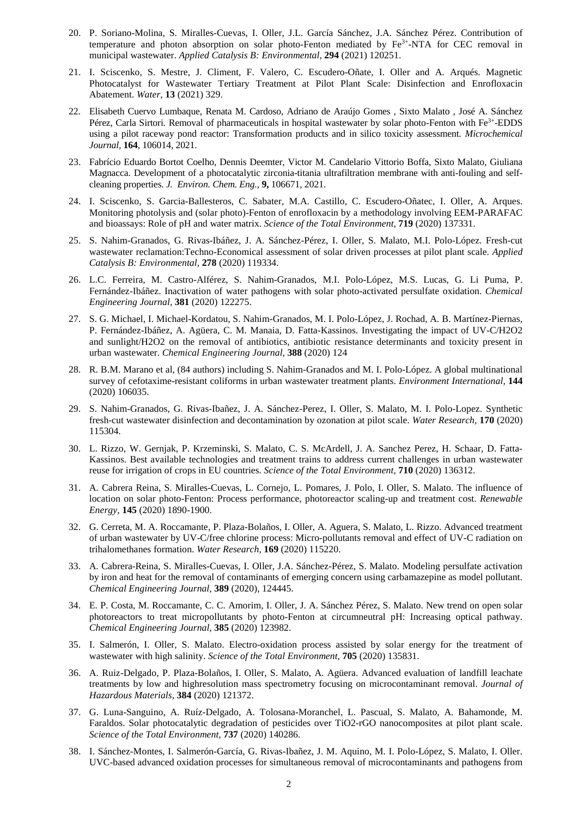- 20. P. Soriano-Molina, S. Miralles-Cuevas, I. Oller, J.L. García Sánchez, J.A. Sánchez Pérez. Contribution of temperature and photon absorption on solar photo-Fenton mediated by Fe3+-NTA for CEC removal in municipal wastewater. *Applied Catalysis B: Environmental,* **294** (2021) 120251.
- 21. I. Sciscenko, S. Mestre, J. Climent, F. Valero, C. Escudero-Oñate, I. Oller and A. Arqués. Magnetic Photocatalyst for Wastewater Tertiary Treatment at Pilot Plant Scale: Disinfection and Enrofloxacin Abatement. *Water*, **13** (2021) 329.
- 22. Elisabeth Cuervo Lumbaque, Renata M. Cardoso, Adriano de Araújo Gomes , Sixto Malato , José A. Sánchez Pérez, Carla Sirtori. Removal of pharmaceuticals in hospital wastewater by solar photo-Fenton with Fe3+-EDDS using a pilot raceway pond reactor: Transformation products and in silico toxicity assessment. *Microchemical Journal,* **164**, 106014, 2021.
- 23. Fabrício Eduardo Bortot Coelho, Dennis Deemter, Victor M. Candelario Vittorio Boffa, Sixto Malato, Giuliana Magnacca. Development of a photocatalytic zirconia-titania ultrafiltration membrane with anti-fouling and selfcleaning properties. *J. Environ. Chem. Eng.,* **9,** 106671, 2021.
- 24. I. Sciscenko, S. Garcia-Ballesteros, C. Sabater, M.A. Castillo, C. Escudero-Oñatec, I. Oller, A. Arques. Monitoring photolysis and (solar photo)-Fenton of enrofloxacin by a methodology involving EEM-PARAFAC and bioassays: Role of pH and water matrix. *Science of the Total Environment,* **719** (2020) 137331.
- 25. S. Nahim-Granados, G. Rivas-Ibáñez, J. A. Sánchez-Pérez, I. Oller, S. Malato, M.I. Polo-López. Fresh-cut wastewater reclamation:Techno-Economical assessment of solar driven processes at pilot plant scale. *Applied Catalysis B: Environmental,* **278** (2020) 119334.
- 26. L.C. Ferreira, M. Castro-Alférez, S. Nahim-Granados, M.I. Polo-López, M.S. Lucas, G. Li Puma, P. Fernández-Ibáñez. Inactivation of water pathogens with solar photo-activated persulfate oxidation. *Chemical Engineering Journal,* **381** (2020) 122275.
- 27. S. G. Michael, I. Michael-Kordatou, S. Nahim-Granados, M. I. Polo-López, J. Rochad, A. B. Martínez-Piernas, P. Fernández-Ibáñez, A. Agüera, C. M. Manaia, D. Fatta-Kassinos. Investigating the impact of UV-C/H2O2 and sunlight/H2O2 on the removal of antibiotics, antibiotic resistance determinants and toxicity present in urban wastewater. *Chemical Engineering Journal,* **388** (2020) 124
- 28. R. B.M. Marano et al, (84 authors) including S. Nahim-Granados and M. I. Polo-López. A global multinational survey of cefotaxime-resistant coliforms in urban wastewater treatment plants. *Environment International,* **144** (2020) 106035.
- 29. S. Nahim-Granados, G. Rivas-Ibañez, J. A. Sánchez-Perez, I. Oller, S. Malato, M. I. Polo-Lopez. Synthetic fresh-cut wastewater disinfection and decontamination by ozonation at pilot scale. *Water Research,* **170** (2020) 115304.
- 30. L. Rizzo, W. Gernjak, P. Krzeminski, S. Malato, C. S. McArdell, J. A. Sanchez Perez, H. Schaar, D. Fatta-Kassinos. Best available technologies and treatment trains to address current challenges in urban wastewater reuse for irrigation of crops in EU countries. *Science of the Total Environment,* **710** (2020) 136312.
- 31. A. Cabrera Reina, S. Miralles-Cuevas, L. Cornejo, L. Pomares, J. Polo, I. Oller, S. Malato. The influence of location on solar photo-Fenton: Process performance, photoreactor scaling-up and treatment cost. *Renewable Energy,* **145** (2020) 1890-1900.
- 32. G. Cerreta, M. A. Roccamante, P. Plaza-Bolaños, I. Oller, A. Aguera, S. Malato, L. Rizzo. Advanced treatment of urban wastewater by UV-C/free chlorine process: Micro-pollutants removal and effect of UV-C radiation on trihalomethanes formation. *Water Research,* **169** (2020) 115220.
- 33. A. Cabrera-Reina, S. Miralles-Cuevas, I. Oller, J.A. Sánchez-Pérez, S. Malato. Modeling persulfate activation by iron and heat for the removal of contaminants of emerging concern using carbamazepine as model pollutant. *Chemical Engineering Journal,* **389** (2020), 124445.
- 34. E. P. Costa, M. Roccamante, C. C. Amorim, I. Oller, J. A. Sánchez Pérez, S. Malato. New trend on open solar photoreactors to treat micropollutants by photo-Fenton at circumneutral pH: Increasing optical pathway. *Chemical Engineering Journal*, **385** (2020) 123982.
- 35. I. Salmerón, I. Oller, S. Malato. Electro-oxidation process assisted by solar energy for the treatment of wastewater with high salinity. *Science of the Total Environment,* **705** (2020) 135831.
- 36. A. Ruiz-Delgado, P. Plaza-Bolaños, I. Oller, S. Malato, A. Agüera. Advanced evaluation of landfill leachate treatments by low and highresolution mass spectrometry focusing on microcontaminant removal. *Journal of Hazardous Materials,* **384** (2020) 121372.
- 37. G. Luna-Sanguino, A. Ruíz-Delgado, A. Tolosana-Moranchel, L. Pascual, S. Malato, A. Bahamonde, M. Faraldos. Solar photocatalytic degradation of pesticides over TiO2-rGO nanocomposites at pilot plant scale. *Science of the Total Environment,* **737** (2020) 140286.
- 38. I. Sánchez-Montes, I. Salmerón-García, G. Rivas-Ibañez, J. M. Aquino, M. I. Polo-López, S. Malato, I. Oller. UVC-based advanced oxidation processes for simultaneous removal of microcontaminants and pathogens from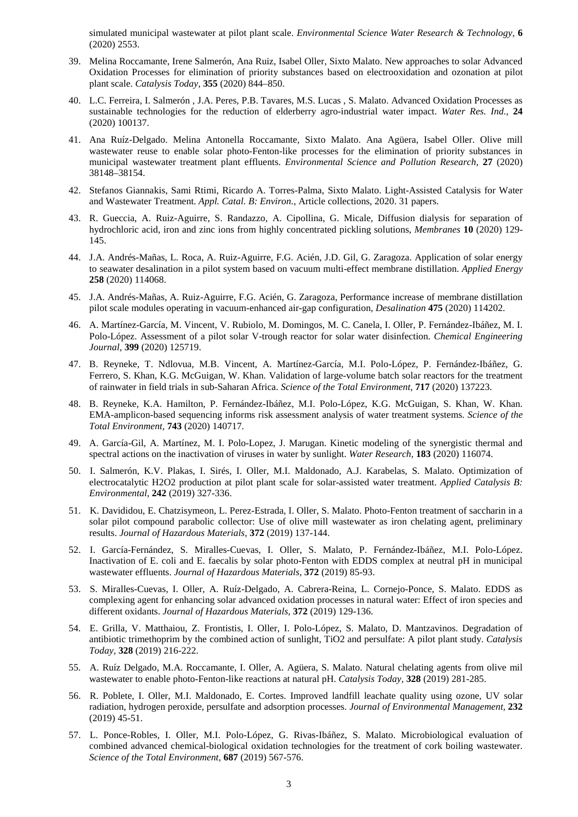simulated municipal wastewater at pilot plant scale. *Environmental Science Water Research & Technology,* **6** (2020) 2553.

- 39. Melina Roccamante, Irene Salmerón, Ana Ruiz, Isabel Oller, Sixto Malato. New approaches to solar Advanced Oxidation Processes for elimination of priority substances based on electrooxidation and ozonation at pilot plant scale. *Catalysis Today,* **355** (2020) 844–850.
- 40. L.C. Ferreira, I. Salmerón , J.A. Peres, P.B. Tavares, M.S. Lucas , S. Malato. Advanced Oxidation Processes as sustainable technologies for the reduction of elderberry agro-industrial water impact. *Water Res. Ind.,* **24** (2020) 100137.
- 41. Ana Ruíz-Delgado. Melina Antonella Roccamante, Sixto Malato. Ana Agüera, Isabel Oller. Olive mill wastewater reuse to enable solar photo-Fenton-like processes for the elimination of priority substances in municipal wastewater treatment plant effluents. *Environmental Science and Pollution Research,* **27** (2020) 38148–38154.
- 42. Stefanos Giannakis, Sami Rtimi, Ricardo A. Torres-Palma, Sixto Malato. Light-Assisted Catalysis for Water and Wastewater Treatment. *Appl. Catal. B: Environ.*, Article collections, 2020. 31 papers.
- 43. R. Gueccia, A. Ruiz-Aguirre, S. Randazzo, A. Cipollina, G. Micale, Diffusion dialysis for separation of hydrochloric acid, iron and zinc ions from highly concentrated pickling solutions, *Membranes* **10** (2020) 129- 145.
- 44. J.A. Andrés-Mañas, L. Roca, A. Ruiz-Aguirre, F.G. Acién, J.D. Gil, G. Zaragoza. Application of solar energy to seawater desalination in a pilot system based on vacuum multi-effect membrane distillation. *Applied Energy* **258** (2020) 114068.
- 45. J.A. Andrés-Mañas, A. Ruiz-Aguirre, F.G. Acién, G. Zaragoza, Performance increase of membrane distillation pilot scale modules operating in vacuum-enhanced air-gap configuration, *Desalination* **475** (2020) 114202.
- 46. A. Martínez-García, M. Vincent, V. Rubiolo, M. Domingos, M. C. Canela, I. Oller, P. Fernández-Ibáñez, M. I. Polo-López. Assessment of a pilot solar V-trough reactor for solar water disinfection. *Chemical Engineering Journal,* **399** (2020) 125719.
- 47. B. Reyneke, T. Ndlovua, M.B. Vincent, A. Martínez-García, M.I. Polo-López, P. Fernández-Ibáñez, G. Ferrero, S. Khan, K.G. McGuigan, W. Khan. Validation of large-volume batch solar reactors for the treatment of rainwater in field trials in sub-Saharan Africa. *Science of the Total Environment,* **717** (2020) 137223.
- 48. B. Reyneke, K.A. Hamilton, P. Fernández-Ibáñez, M.I. Polo-López, K.G. McGuigan, S. Khan, W. Khan. EMA-amplicon-based sequencing informs risk assessment analysis of water treatment systems. *Science of the Total Environment,* **743** (2020) 140717.
- 49. A. García-Gil, A. Martínez, M. I. Polo-Lopez, J. Marugan. Kinetic modeling of the synergistic thermal and spectral actions on the inactivation of viruses in water by sunlight. *Water Research,* **183** (2020) 116074.
- 50. I. Salmerón, K.V. Plakas, I. Sirés, I. Oller, M.I. Maldonado, A.J. Karabelas, S. Malato. Optimization of electrocatalytic H2O2 production at pilot plant scale for solar-assisted water treatment. *Applied Catalysis B: Environmental*, **242** (2019) 327-336.
- 51. K. Davididou, E. Chatzisymeon, L. Perez-Estrada, I. Oller, S. Malato. Photo-Fenton treatment of saccharin in a solar pilot compound parabolic collector: Use of olive mill wastewater as iron chelating agent, preliminary results. *Journal of Hazardous Materials,* **372** (2019) 137-144.
- 52. I. García-Fernández, S. Miralles-Cuevas, I. Oller, S. Malato, P. Fernández-Ibáñez, M.I. Polo-López. Inactivation of E. coli and E. faecalis by solar photo-Fenton with EDDS complex at neutral pH in municipal wastewater effluents. *Journal of Hazardous Materials*, **372** (2019) 85-93.
- 53. S. Miralles-Cuevas, I. Oller, A. Ruíz-Delgado, A. Cabrera-Reina, L. Cornejo-Ponce, S. Malato. EDDS as complexing agent for enhancing solar advanced oxidation processes in natural water: Effect of iron species and different oxidants. *Journal of Hazardous Materials,* **372** (2019) 129-136.
- 54. E. Grilla, V. Matthaiou, Z. Frontistis, I. Oller, I. Polo-López, S. Malato, D. Mantzavinos. Degradation of antibiotic trimethoprim by the combined action of sunlight, TiO2 and persulfate: A pilot plant study. *Catalysis Today,* **328** (2019) 216-222.
- 55. A. Ruíz Delgado, M.A. Roccamante, I. Oller, A. Agüera, S. Malato. Natural chelating agents from olive mil wastewater to enable photo-Fenton-like reactions at natural pH. *Catalysis Today,* **328** (2019) 281-285.
- 56. R. Poblete, I. Oller, M.I. Maldonado, E. Cortes. Improved landfill leachate quality using ozone, UV solar radiation, hydrogen peroxide, persulfate and adsorption processes. *Journal of Environmental Management,* **232** (2019) 45-51.
- 57. L. Ponce-Robles, I. Oller, M.I. Polo-López, G. Rivas-Ibáñez, S. Malato. Microbiological evaluation of combined advanced chemical-biological oxidation technologies for the treatment of cork boiling wastewater. *Science of the Total Environment*, **687** (2019) 567-576.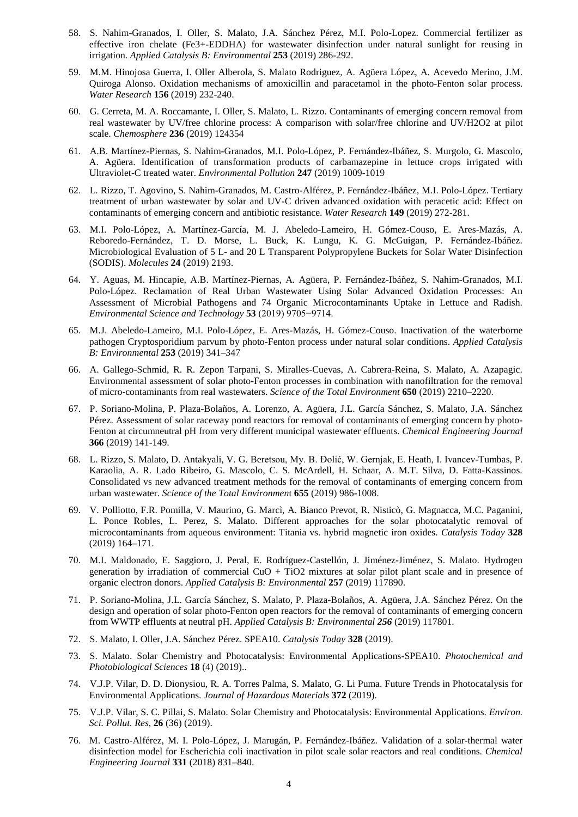- 58. S. Nahim-Granados, I. Oller, S. Malato, J.A. Sánchez Pérez, M.I. Polo-Lopez. Commercial fertilizer as effective iron chelate (Fe3+-EDDHA) for wastewater disinfection under natural sunlight for reusing in irrigation. *Applied Catalysis B: Environmental* **253** (2019) 286-292.
- 59. M.M. Hinojosa Guerra, I. Oller Alberola, S. Malato Rodriguez, A. Agüera López, A. Acevedo Merino, J.M. Quiroga Alonso. Oxidation mechanisms of amoxicillin and paracetamol in the photo-Fenton solar process. *Water Research* **156** (2019) 232-240.
- 60. G. Cerreta, M. A. Roccamante, I. Oller, S. Malato, L. Rizzo. Contaminants of emerging concern removal from real wastewater by UV/free chlorine process: A comparison with solar/free chlorine and UV/H2O2 at pilot scale. *Chemosphere* **236** (2019) 124354
- 61. A.B. Martínez-Piernas, S. Nahim-Granados, M.I. Polo-López, P. Fernández-Ibáñez, S. Murgolo, G. Mascolo, A. Agüera. Identification of transformation products of carbamazepine in lettuce crops irrigated with Ultraviolet-C treated water. *Environmental Pollution* **247** (2019) 1009-1019
- 62. L. Rizzo, T. Agovino, S. Nahim-Granados, M. Castro-Alférez, P. Fernández-Ibáñez, M.I. Polo-López. Tertiary treatment of urban wastewater by solar and UV-C driven advanced oxidation with peracetic acid: Effect on contaminants of emerging concern and antibiotic resistance. *Water Research* **149** (2019) 272-281.
- 63. M.I. Polo-López, A. Martínez-García, M. J. Abeledo-Lameiro, H. Gómez-Couso, E. Ares-Mazás, A. Reboredo-Fernández, T. D. Morse, L. Buck, K. Lungu, K. G. McGuigan, P. Fernández-Ibáñez. Microbiological Evaluation of 5 L- and 20 L Transparent Polypropylene Buckets for Solar Water Disinfection (SODIS). *Molecules* **24** (2019) 2193.
- 64. Y. Aguas, M. Hincapie, A.B. Martínez-Piernas, A. Agüera, P. Fernández-Ibáñez, S. Nahim-Granados, M.I. Polo-López. Reclamation of Real Urban Wastewater Using Solar Advanced Oxidation Processes: An Assessment of Microbial Pathogens and 74 Organic Microcontaminants Uptake in Lettuce and Radish. *Environmental Science and Technology* **53** (2019) 9705−9714.
- 65. M.J. Abeledo-Lameiro, M.I. Polo-López, E. Ares-Mazás, H. Gómez-Couso. Inactivation of the waterborne pathogen Cryptosporidium parvum by photo-Fenton process under natural solar conditions. *Applied Catalysis B: Environmental* **253** (2019) 341–347
- 66. A. Gallego-Schmid, R. R. Zepon Tarpani, S. Miralles-Cuevas, A. Cabrera-Reina, S. Malato, A. Azapagic. Environmental assessment of solar photo-Fenton processes in combination with nanofiltration for the removal of micro-contaminants from real wastewaters. *Science of the Total Environment* **650** (2019) 2210–2220.
- 67. P. Soriano-Molina, P. Plaza-Bolaños, A. Lorenzo, A. Agüera, J.L. García Sánchez, S. Malato, J.A. Sánchez Pérez. Assessment of solar raceway pond reactors for removal of contaminants of emerging concern by photo-Fenton at circumneutral pH from very different municipal wastewater effluents. *Chemical Engineering Journal* **366** (2019) 141-149.
- 68. L. Rizzo, S. Malato, D. Antakyali, V. G. Beretsou, My. B. Đolić, W. Gernjak, E. Heath, I. Ivancev-Tumbas, P. Karaolia, A. R. Lado Ribeiro, G. Mascolo, C. S. McArdell, H. Schaar, A. M.T. Silva, D. Fatta-Kassinos. Consolidated vs new advanced treatment methods for the removal of contaminants of emerging concern from urban wastewater. *Science of the Total Environmen*t **655** (2019) 986-1008.
- 69. V. Polliotto, F.R. Pomilla, V. Maurino, G. Marcì, A. Bianco Prevot, R. Nisticò, G. Magnacca, M.C. Paganini, L. Ponce Robles, L. Perez, S. Malato. Different approaches for the solar photocatalytic removal of microcontaminants from aqueous environment: Titania vs. hybrid magnetic iron oxides. *Catalysis Today* **328**  (2019) 164–171.
- 70. M.I. Maldonado, E. Saggioro, J. Peral, E. Rodríguez-Castellón, J. Jiménez-Jiménez, S. Malato. Hydrogen generation by irradiation of commercial  $CuO + TiO2$  mixtures at solar pilot plant scale and in presence of organic electron donors. *Applied Catalysis B: Environmental* **257** (2019) 117890.
- 71. P. Soriano-Molina, J.L. García Sánchez, S. Malato, P. Plaza-Bolaños, A. Agüera, J.A. Sánchez Pérez. On the design and operation of solar photo-Fenton open reactors for the removal of contaminants of emerging concern from WWTP effluents at neutral pH. *Applied Catalysis B: Environmental 256* (2019) 117801.
- 72. S. Malato, I. Oller, J.A. Sánchez Pérez. SPEA10. *Catalysis Today* **328** (2019).
- 73. S. Malato. Solar Chemistry and Photocatalysis: Environmental Applications-SPEA10. *Photochemical and Photobiological Sciences* **18** (4) (2019)..
- 74. V.J.P. Vilar, D. D. Dionysiou, R. A. Torres Palma, S. Malato, G. Li Puma. Future Trends in Photocatalysis for Environmental Applications. *Journal of Hazardous Materials* **372** (2019).
- 75. V.J.P. Vilar, S. C. Pillai, S. Malato. Solar Chemistry and Photocatalysis: Environmental Applications. *Environ. Sci. Pollut. Res,* **26** (36) (2019).
- 76. M. Castro-Alférez, M. I. Polo-López, J. Marugán, P. Fernández-Ibáñez. Validation of a solar-thermal water disinfection model for Escherichia coli inactivation in pilot scale solar reactors and real conditions. *Chemical Engineering Journal* **331** (2018) 831–840.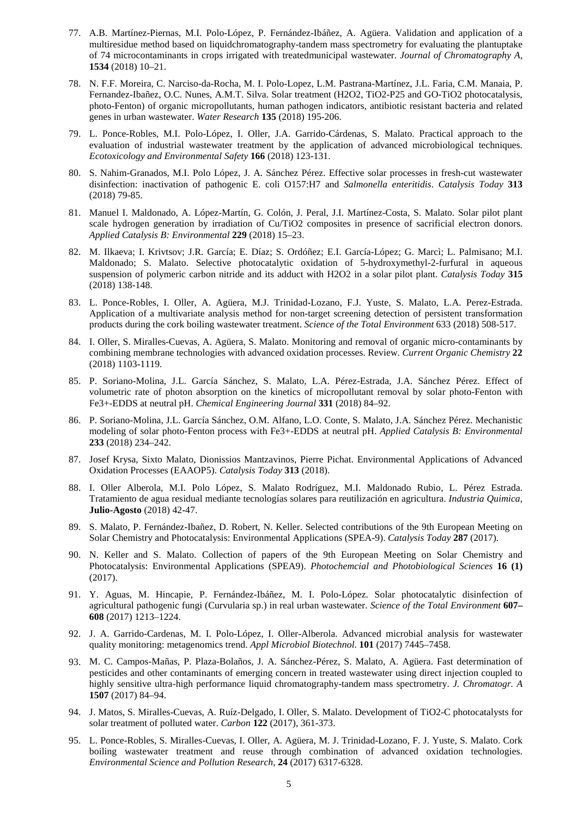- 77. A.B. Martínez-Piernas, M.I. Polo-López, P. Fernández-Ibáñez, A. Agüera. Validation and application of a multiresidue method based on liquidchromatography-tandem mass spectrometry for evaluating the plantuptake of 74 microcontaminants in crops irrigated with treatedmunicipal wastewater. *Journal of Chromatography A,* **1534** (2018) 10–21.
- 78. N. F.F. Moreira, C. Narciso-da-Rocha, M. I. Polo-Lopez, L.M. Pastrana-Martínez, J.L. Faria, C.M. Manaia, P. Fernandez-Ibañez, O.C. Nunes, A.M.T. Silva. Solar treatment (H2O2, TiO2-P25 and GO-TiO2 photocatalysis, photo-Fenton) of organic micropollutants, human pathogen indicators, antibiotic resistant bacteria and related genes in urban wastewater. *Water Research* **135** (2018) 195-206.
- 79. L. Ponce-Robles, M.I. Polo-López, I. Oller, J.A. Garrido-Cárdenas, S. Malato. Practical approach to the evaluation of industrial wastewater treatment by the application of advanced microbiological techniques. *Ecotoxicology and Environmental Safety* **166** (2018) 123-131.
- 80. S. Nahim-Granados, M.I. Polo López, J. A. Sánchez Pérez. Effective solar processes in fresh-cut wastewater disinfection: inactivation of pathogenic E. coli O157:H7 and *Salmonella enteritidis*. *Catalysis Today* **313** (2018) 79-85.
- 81. Manuel I. Maldonado, A. López-Martín, G. Colón, J. Peral, J.I. Martínez-Costa, S. Malato. Solar pilot plant scale hydrogen generation by irradiation of Cu/TiO2 composites in presence of sacrificial electron donors. *Applied Catalysis B: Environmental* **229** (2018) 15–23.
- 82. M. Ilkaeva; I. Krivtsov; J.R. García; E. Díaz; S. Ordóñez; E.I. García-López; G. Marcì; L. Palmisano; M.I. Maldonado; S. Malato. Selective photocatalytic oxidation of 5-hydroxymethyl-2-furfural in aqueous suspension of polymeric carbon nitride and its adduct with H2O2 in a solar pilot plant. *Catalysis Today* **315** (2018) 138-148.
- 83. L. Ponce-Robles, I. Oller, A. Agüera, M.J. Trinidad-Lozano, F.J. Yuste, S. Malato, L.A. Perez-Estrada. Application of a multivariate analysis method for non-target screening detection of persistent transformation products during the cork boiling wastewater treatment. *Science of the Total Environment* 633 (2018) 508-517.
- 84. I. Oller, S. Miralles-Cuevas, A. Agüera, S. Malato. Monitoring and removal of organic micro-contaminants by combining membrane technologies with advanced oxidation processes. Review. *Current Organic Chemistry* **22** (2018) 1103-1119.
- 85. P. Soriano-Molina, J.L. García Sánchez, S. Malato, L.A. Pérez-Estrada, J.A. Sánchez Pérez. Effect of volumetric rate of photon absorption on the kinetics of micropollutant removal by solar photo-Fenton with Fe3+-EDDS at neutral pH. *Chemical Engineering Journal* **331** (2018) 84–92.
- 86. P. Soriano-Molina, J.L. García Sánchez, O.M. Alfano, L.O. Conte, S. Malato, J.A. Sánchez Pérez. Mechanistic modeling of solar photo-Fenton process with Fe3+-EDDS at neutral pH. *Applied Catalysis B: Environmental* **233** (2018) 234–242.
- 87. Josef Krysa, Sixto Malato, Dionissios Mantzavinos, Pierre Pichat. Environmental Applications of Advanced Oxidation Processes (EAAOP5). *Catalysis Today* **313** (2018).
- 88. I. Oller Alberola, M.I. Polo López, S. Malato Rodríguez, M.I. Maldonado Rubio, L. Pérez Estrada. Tratamiento de agua residual mediante tecnologías solares para reutilización en agricultura. *Industria Quimica,*  **Julio-Agosto** (2018) 42-47.
- 89. S. Malato, P. Fernández-Ibañez, D. Robert, N. Keller. Selected contributions of the 9th European Meeting on Solar Chemistry and Photocatalysis: Environmental Applications (SPEA-9). *Catalysis Today* **287** (2017).
- 90. N. Keller and S. Malato. Collection of papers of the 9th European Meeting on Solar Chemistry and Photocatalysis: Environmental Applications (SPEA9). *Photochemcial and Photobiological Sciences* **16 (1)** (2017).
- 91. Y. Aguas, M. Hincapie, P. Fernández-Ibáñez, M. I. Polo-López. Solar photocatalytic disinfection of agricultural pathogenic fungi (Curvularia sp.) in real urban wastewater. *Science of the Total Environment* **607– 608** (2017) 1213–1224.
- 92. J. A. Garrido-Cardenas, M. I. Polo-López, I. Oller-Alberola. Advanced microbial analysis for wastewater quality monitoring: metagenomics trend. *Appl Microbiol Biotechnol*. **101** (2017) 7445–7458.
- 93. M. C. Campos-Mañas, P. Plaza-Bolaños, J. A. Sánchez-Pérez, S. Malato, A. Agüera. Fast determination of pesticides and other contaminants of emerging concern in treated wastewater using direct injection coupled to highly sensitive ultra-high performance liquid chromatography-tandem mass spectrometry. *J. Chromatogr. A*  **1507** (2017) 84–94.
- 94. J. Matos, S. Miralles-Cuevas, A. Ruíz-Delgado, I. Oller, S. Malato. Development of TiO2-C photocatalysts for solar treatment of polluted water. *Carbon* **122** (2017), 361-373.
- 95. L. Ponce-Robles, S. Miralles-Cuevas, I. Oller, A. Agüera, M. J. Trinidad-Lozano, F. J. Yuste, S. Malato. Cork boiling wastewater treatment and reuse through combination of advanced oxidation technologies. *Environmental Science and Pollution Research*, **24** (2017) 6317-6328.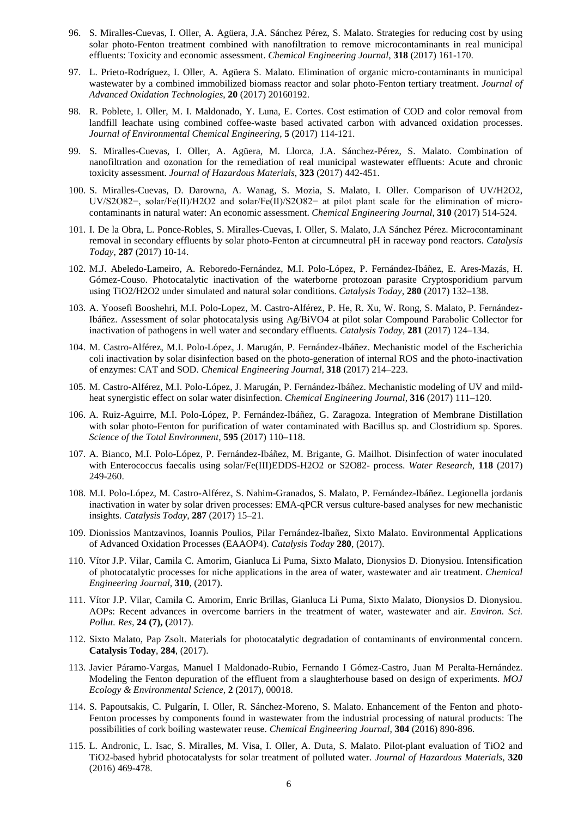- 96. S. Miralles-Cuevas, I. Oller, A. Agüera, J.A. Sánchez Pérez, S. Malato. Strategies for reducing cost by using solar photo-Fenton treatment combined with nanofiltration to remove microcontaminants in real municipal effluents: Toxicity and economic assessment. *Chemical Engineering Journal*, **318** (2017) 161-170.
- 97. L. Prieto-Rodríguez, I. Oller, A. Agüera S. Malato. Elimination of organic micro-contaminants in municipal wastewater by a combined immobilized biomass reactor and solar photo-Fenton tertiary treatment. *Journal of Advanced Oxidation Technologies*, **20** (2017) 20160192.
- 98. R. Poblete, I. Oller, M. I. Maldonado, Y. Luna, E. Cortes. Cost estimation of COD and color removal from landfill leachate using combined coffee-waste based activated carbon with advanced oxidation processes. *Journal of Environmental Chemical Engineering*, **5** (2017) 114-121.
- 99. S. Miralles-Cuevas, I. Oller, A. Agüera, M. Llorca, J.A. Sánchez-Pérez, S. Malato. Combination of nanofiltration and ozonation for the remediation of real municipal wastewater effluents: Acute and chronic toxicity assessment. *Journal of Hazardous Materials*, **323** (2017) 442-451.
- 100. S. Miralles-Cuevas, D. Darowna, A. Wanag, S. Mozia, S. Malato, I. Oller. Comparison of UV/H2O2, UV/S2O82−, solar/Fe(II)/H2O2 and solar/Fe(II)/S2O82− at pilot plant scale for the elimination of microcontaminants in natural water: An economic assessment. *Chemical Engineering Journal*, **310** (2017) 514-524.
- 101. I. De la Obra, L. Ponce-Robles, S. Miralles-Cuevas, I. Oller, S. Malato, J.A Sánchez Pérez. Microcontaminant removal in secondary effluents by solar photo-Fenton at circumneutral pH in raceway pond reactors. *Catalysis Today*, **287** (2017) 10-14.
- 102. M.J. Abeledo-Lameiro, A. Reboredo-Fernández, M.I. Polo-López, P. Fernández-Ibáñez, E. Ares-Mazás, H. Gómez-Couso. Photocatalytic inactivation of the waterborne protozoan parasite Cryptosporidium parvum using TiO2/H2O2 under simulated and natural solar conditions. *Catalysis Today*, **280** (2017) 132–138.
- 103. A. Yoosefi Booshehri, M.I. Polo-Lopez, M. Castro-Alférez, P. He, R. Xu, W. Rong, S. Malato, P. Fernández-Ibáñez. Assessment of solar photocatalysis using Ag/BiVO4 at pilot solar Compound Parabolic Collector for inactivation of pathogens in well water and secondary effluents. *Catalysis Today*, **281** (2017) 124–134.
- 104. M. Castro-Alférez, M.I. Polo-López, J. Marugán, P. Fernández-Ibáñez. Mechanistic model of the Escherichia coli inactivation by solar disinfection based on the photo-generation of internal ROS and the photo-inactivation of enzymes: CAT and SOD. *Chemical Engineering Journal,* **318** (2017) 214–223.
- 105. M. Castro-Alférez, M.I. Polo-López, J. Marugán, P. Fernández-Ibáñez. Mechanistic modeling of UV and mildheat synergistic effect on solar water disinfection. *Chemical Engineering Journal*, **316** (2017) 111–120.
- 106. A. Ruiz-Aguirre, M.I. Polo-López, P. Fernández-Ibáñez, G. Zaragoza. Integration of Membrane Distillation with solar photo-Fenton for purification of water contaminated with Bacillus sp. and Clostridium sp. Spores. *Science of the Total Environment*, **595** (2017) 110–118.
- 107. A. Bianco, M.I. Polo-López, P. Fernández-Ibáñez, M. Brigante, G. Mailhot. Disinfection of water inoculated with Enterococcus faecalis using solar/Fe(III)EDDS-H2O2 or S2O82- process. *Water Research*, **118** (2017) 249-260.
- 108. M.I. Polo-López, M. Castro-Alférez, S. Nahim-Granados, S. Malato, P. Fernández-Ibáñez. Legionella jordanis inactivation in water by solar driven processes: EMA-qPCR versus culture-based analyses for new mechanistic insights. *Catalysis Today*, **287** (2017) 15–21.
- 109. Dionissios Mantzavinos, Ioannis Poulios, Pilar Fernández-Ibañez, Sixto Malato. Environmental Applications of Advanced Oxidation Processes (EAAOP4). *Catalysis Today* **280**, (2017).
- 110. Vítor J.P. Vilar, Camila C. Amorim, Gianluca Li Puma, Sixto Malato, Dionysios D. Dionysiou. Intensification of photocatalytic processes for niche applications in the area of water, wastewater and air treatment. *Chemical Engineering Journal,* **310**, (2017).
- 111. Vítor J.P. Vilar, Camila C. Amorim, Enric Brillas, Gianluca Li Puma, Sixto Malato, Dionysios D. Dionysiou. AOPs: Recent advances in overcome barriers in the treatment of water, wastewater and air. *Environ. Sci. Pollut. Res,* **24 (7), (**2017).
- 112. Sixto Malato, Pap Zsolt. Materials for photocatalytic degradation of contaminants of environmental concern. **Catalysis Today**, **284**, (2017).
- 113. Javier Páramo-Vargas, Manuel I Maldonado-Rubio, Fernando I Gómez-Castro, Juan M Peralta-Hernández. Modeling the Fenton depuration of the effluent from a slaughterhouse based on design of experiments. *MOJ Ecology & Environmental Science,* **2** (2017), 00018.
- 114. S. Papoutsakis, C. Pulgarín, I. Oller, R. Sánchez-Moreno, S. Malato. Enhancement of the Fenton and photo-Fenton processes by components found in wastewater from the industrial processing of natural products: The possibilities of cork boiling wastewater reuse. *Chemical Engineering Journal*, **304** (2016) 890-896.
- 115. L. Andronic, L. Isac, S. Miralles, M. Visa, I. Oller, A. Duta, S. Malato. Pilot-plant evaluation of TiO2 and TiO2-based hybrid photocatalysts for solar treatment of polluted water. *Journal of Hazardous Materials,* **320** (2016) 469-478.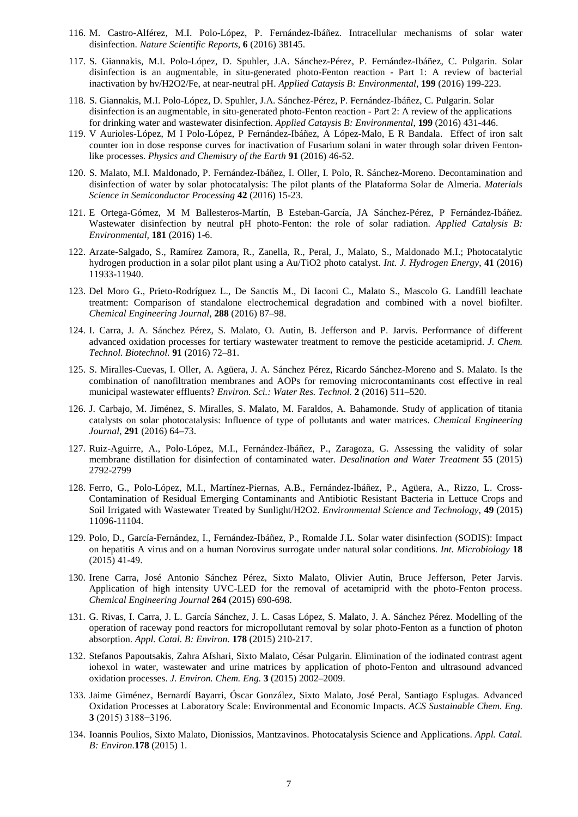- 116. M. Castro-Alférez, M.I. Polo-López, P. Fernández-Ibáñez. Intracellular mechanisms of solar water disinfection. *Nature Scientific Reports*, **6** (2016) 38145.
- 117. S. Giannakis, M.I. Polo-López, D. Spuhler, J.A. Sánchez-Pérez, P. Fernández-Ibáñez, C. Pulgarin. Solar disinfection is an augmentable, in situ-generated photo-Fenton reaction - Part 1: A review of bacterial inactivation by hv/H2O2/Fe, at near-neutral pH. *Applied Cataysis B: Environmental*, **199** (2016) 199-223.
- 118. S. Giannakis, M.I. Polo-López, D. Spuhler, J.A. Sánchez-Pérez, P. Fernández-Ibáñez, C. Pulgarin. Solar disinfection is an augmentable, in situ-generated photo-Fenton reaction - Part 2: A review of the applications for drinking water and wastewater disinfection. *Applied Cataysis B: Environmental*, **199** (2016) 431-446.
- 119. V Aurioles-López, M I Polo-López, P Fernández-Ibáñez, A López-Malo, E R Bandala. Effect of iron salt counter ion in dose response curves for inactivation of Fusarium solani in water through solar driven Fentonlike processes. *Physics and Chemistry of the Earth* **91** (2016) 46-52.
- 120. S. Malato, M.I. Maldonado, P. Fernández-Ibáñez, I. Oller, I. Polo, R. Sánchez-Moreno. Decontamination and disinfection of water by solar photocatalysis: The pilot plants of the Plataforma Solar de Almeria. *Materials Science in Semiconductor Processing* **42** (2016) 15-23.
- 121. E Ortega-Gómez, M M Ballesteros-Martín, B Esteban-García, JA Sánchez-Pérez, P Fernández-Ibáñez. Wastewater disinfection by neutral pH photo-Fenton: the role of solar radiation. *Applied Catalysis B: Environmental,* **181** (2016) 1-6.
- 122. Arzate-Salgado, S., Ramírez Zamora, R., Zanella, R., Peral, J., Malato, S., Maldonado M.I.; Photocatalytic hydrogen production in a solar pilot plant using a Au/TiO2 photo catalyst. *Int. J. Hydrogen Energy*, **41** (2016) 11933-11940.
- 123. Del Moro G., Prieto-Rodríguez L., De Sanctis M., Di Iaconi C., Malato S., Mascolo G. Landfill leachate treatment: Comparison of standalone electrochemical degradation and combined with a novel biofilter. *Chemical Engineering Journal,* **288** (2016) 87–98.
- 124. I. Carra, J. A. Sánchez Pérez, S. Malato, O. Autin, B. Jefferson and P. Jarvis. Performance of different advanced oxidation processes for tertiary wastewater treatment to remove the pesticide acetamiprid. *J. Chem. Technol. Biotechnol.* **91** (2016) 72–81.
- 125. S. Miralles-Cuevas, I. Oller, A. Agüera, J. A. Sánchez Pérez, Ricardo Sánchez-Moreno and S. Malato. Is the combination of nanofiltration membranes and AOPs for removing microcontaminants cost effective in real municipal wastewater effluents? *Environ. Sci.: Water Res. Technol.* **2** (2016) 511–520.
- 126. J. Carbajo, M. Jiménez, S. Miralles, S. Malato, M. Faraldos, A. Bahamonde. Study of application of titania catalysts on solar photocatalysis: Influence of type of pollutants and water matrices. *Chemical Engineering Journal*, **291** (2016) 64–73.
- 127. Ruiz-Aguirre, A., Polo-López, M.I., Fernández-Ibáñez, P., Zaragoza, G. Assessing the validity of solar membrane distillation for disinfection of contaminated water. *Desalination and Water Treatment* **55** (2015) 2792-2799
- 128. Ferro, G., Polo-López, M.I., Martínez-Piernas, A.B., Fernández-Ibáñez, P., Agüera, A., Rizzo, L. Cross-Contamination of Residual Emerging Contaminants and Antibiotic Resistant Bacteria in Lettuce Crops and Soil Irrigated with Wastewater Treated by Sunlight/H2O2. *Environmental Science and Technology,* **49** (2015) 11096-11104.
- 129. Polo, D., García-Fernández, I., Fernández-Ibáñez, P., Romalde J.L. Solar water disinfection (SODIS): Impact on hepatitis A virus and on a human Norovirus surrogate under natural solar conditions. *Int. Microbiology* **18** (2015) 41-49.
- 130. Irene Carra, José Antonio Sánchez Pérez, Sixto Malato, Olivier Autin, Bruce Jefferson, Peter Jarvis. Application of high intensity UVC-LED for the removal of acetamiprid with the photo-Fenton process. *Chemical Engineering Journal* **264** (2015) 690-698.
- 131. G. Rivas, I. Carra, J. L. García Sánchez, J. L. Casas López, S. Malato, J. A. Sánchez Pérez. Modelling of the operation of raceway pond reactors for micropollutant removal by solar photo-Fenton as a function of photon absorption. *Appl. Catal. B: Environ.* **178** (2015) 210-217.
- 132. Stefanos Papoutsakis, Zahra Afshari, Sixto Malato, César Pulgarin. Elimination of the iodinated contrast agent iohexol in water, wastewater and urine matrices by application of photo-Fenton and ultrasound advanced oxidation processes. *J. Environ. Chem. Eng.* **3** (2015) 2002–2009.
- 133. Jaime Giménez, Bernardí Bayarri, Óscar González, Sixto Malato, José Peral, Santiago Esplugas. Advanced Oxidation Processes at Laboratory Scale: Environmental and Economic Impacts. *ACS Sustainable Chem. Eng.* **3** (2015) 3188−3196.
- 134. Ioannis Poulios, Sixto Malato, Dionissios, Mantzavinos. Photocatalysis Science and Applications. *Appl. Catal. B: Environ.***178** (2015) 1.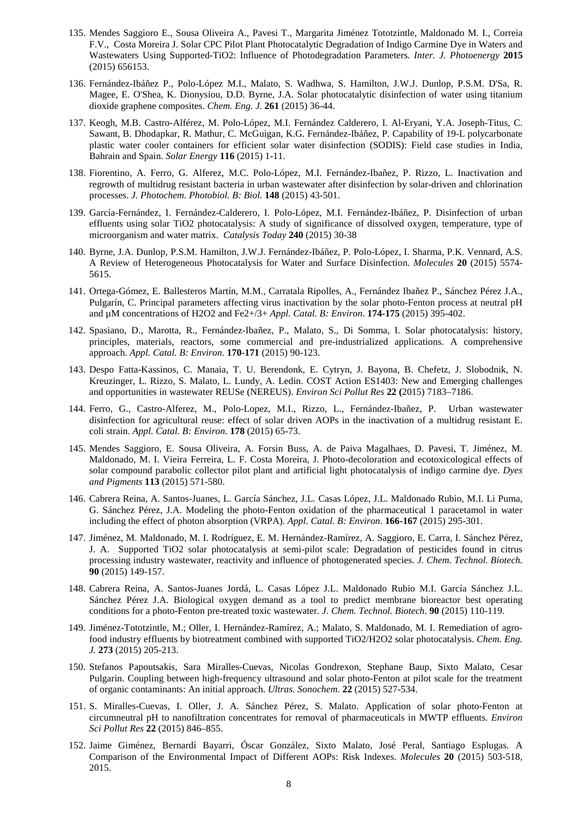- 135. Mendes Saggioro E., Sousa Oliveira A., Pavesi T., Margarita Jiménez Tototzintle, Maldonado M. I., Correia F.V., Costa Moreira J. Solar CPC Pilot Plant Photocatalytic Degradation of Indigo Carmine Dye in Waters and Wastewaters Using Supported-TiO2: Influence of Photodegradation Parameters. *Inter. J. Photoenergy* **2015** (2015) 656153.
- 136. Fernández-Ibáñez P., Polo-López M.I., Malato, S. Wadhwa, S. Hamilton, J.W.J. Dunlop, P.S.M. D'Sa, R. Magee, E. O'Shea, K. Dionysiou, D.D. Byrne, J.A. Solar photocatalytic disinfection of water using titanium dioxide graphene composites. *Chem. Eng. J.* **261** (2015) 36-44.
- 137. Keogh, M.B. Castro-Alférez, M. Polo-López, M.I. Fernández Calderero, I. Al-Eryani, Y.A. Joseph-Titus, C. Sawant, B. Dhodapkar, R. Mathur, C. McGuigan, K.G. Fernández-Ibáñez, P. Capability of 19-L polycarbonate plastic water cooler containers for efficient solar water disinfection (SODIS): Field case studies in India, Bahrain and Spain. *Solar Energy* **116** (2015) 1-11.
- 138. Fiorentino, A. Ferro, G. Alferez, M.C. Polo-López, M.I. Fernández-Ibañez, P. Rizzo, L. Inactivation and regrowth of multidrug resistant bacteria in urban wastewater after disinfection by solar-driven and chlorination processes. *J. Photochem. Photobiol. B: Biol.* **148** (2015) 43-501.
- 139. García-Fernández, I. Fernández-Calderero, I. Polo-López, M.I. Fernández-Ibáñez, P. Disinfection of urban effluents using solar TiO2 photocatalysis: A study of significance of dissolved oxygen, temperature, type of microorganism and water matrix. *Catalysis Today* **240** (2015) 30-38
- 140. Byrne, J.A. Dunlop, P.S.M. Hamilton, J.W.J. Fernández-Ibáñez, P. Polo-López, I. Sharma, P.K. Vennard, A.S. A Review of Heterogeneous Photocatalysis for Water and Surface Disinfection. *Molecules* **20** (2015) 5574- 5615.
- 141. Ortega-Gómez, E. Ballesteros Martín, M.M., Carratala Ripolles, A., Fernández Ibañez P., Sánchez Pérez J.A., Pulgarín, C. Principal parameters affecting virus inactivation by the solar photo-Fenton process at neutral pH and µM concentrations of H2O2 and Fe2+/3+ *Appl. Catal. B: Environ*. **174-175** (2015) 395-402.
- 142. Spasiano, D., Marotta, R., Fernández-Ibañez, P., Malato, S., Di Somma, I. Solar photocatalysis: history, principles, materials, reactors, some commercial and pre-industrialized applications. A comprehensive approach. *Appl. Catal. B: Environ*. **170-171** (2015) 90-123.
- 143. Despo Fatta-Kassinos, C. Manaia, T. U. Berendonk, E. Cytryn, J. Bayona, B. Chefetz, J. Slobodnik, N. Kreuzinger, L. Rizzo, S. Malato, L. Lundy, A. Ledin. COST Action ES1403: New and Emerging challenges and opportunities in wastewater REUSe (NEREUS). *Environ Sci Pollut Res* **22 (**2015) 7183–7186.
- 144. Ferro, G., Castro-Alferez, M., Polo-Lopez, M.I., Rizzo, L., Fernández-Ibañez, P. Urban wastewater disinfection for agricultural reuse: effect of solar driven AOPs in the inactivation of a multidrug resistant E. coli strain. *Appl. Catal. B: Environ.* **178** (2015) 65-73.
- 145. Mendes Saggioro, E. Sousa Oliveira, A. Forsin Buss, A. de Paiva Magalhaes, D. Pavesi, T. Jiménez, M. Maldonado, M. I. Vieira Ferreira, L. F. Costa Moreira, J. Photo-decoloration and ecotoxicological effects of solar compound parabolic collector pilot plant and artificial light photocatalysis of indigo carmine dye. *Dyes and Pigments* **113** (2015) 571-580.
- 146. Cabrera Reina, A. Santos-Juanes, L. García Sánchez, J.L. Casas López, J.L. Maldonado Rubio, M.I. Li Puma, G. Sánchez Pérez, J.A. Modeling the photo-Fenton oxidation of the pharmaceutical 1 paracetamol in water including the effect of photon absorption (VRPA). *Appl. Catal. B: Environ*. **166-167** (2015) 295-301.
- 147. Jiménez, M. Maldonado, M. I. Rodríguez, E. M. Hernández-Ramírez, A. Saggioro, E. Carra, I. Sánchez Pérez, J. A. Supported TiO2 solar photocatalysis at semi-pilot scale: Degradation of pesticides found in citrus processing industry wastewater, reactivity and influence of photogenerated species. *J. Chem. Technol. Biotech.* **90** (2015) 149-157.
- 148. Cabrera Reina, A. Santos-Juanes Jordá, L. Casas López J.L. Maldonado Rubio M.I. García Sánchez J.L. Sánchez Pérez J.A. Biological oxygen demand as a tool to predict membrane bioreactor best operating conditions for a photo-Fenton pre-treated toxic wastewater. *J. Chem. Technol. Biotech*. **90** (2015) 110-119.
- 149. Jiménez-Tototzintle, M.; Oller, I. Hernández-Ramírez, A.; Malato, S. Maldonado, M. I. Remediation of agrofood industry effluents by biotreatment combined with supported TiO2/H2O2 solar photocatalysis. *Chem. Eng. J.* **273** (2015) 205-213.
- 150. Stefanos Papoutsakis, Sara Miralles-Cuevas, Nicolas Gondrexon, Stephane Baup, Sixto Malato, Cesar Pulgarin. Coupling between high-frequency ultrasound and solar photo-Fenton at pilot scale for the treatment of organic contaminants: An initial approach. *Ultras. Sonochem*. **22** (2015) 527-534.
- 151. S. Miralles-Cuevas, I. Oller, J. A. Sánchez Pérez, S. Malato. Application of solar photo-Fenton at circumneutral pH to nanofiltration concentrates for removal of pharmaceuticals in MWTP effluents. *Environ Sci Pollut Res* **22** (2015) 846–855.
- 152. Jaime Giménez, Bernardí Bayarri, Óscar González, Sixto Malato, José Peral, Santiago Esplugas. A Comparison of the Environmental Impact of Different AOPs: Risk Indexes. *Molecules* **20** (2015) 503-518, 2015.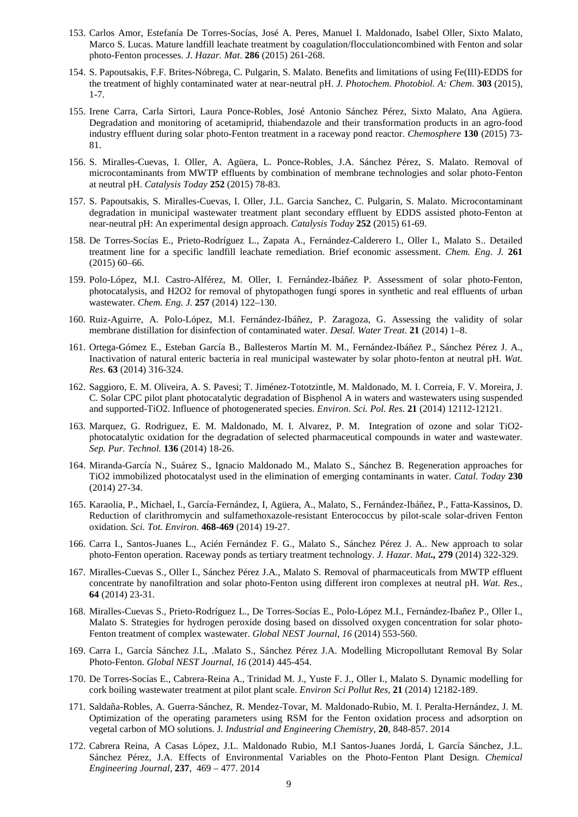- 153. Carlos Amor, Estefanía De Torres-Socías, José A. Peres, Manuel I. Maldonado, Isabel Oller, Sixto Malato, Marco S. Lucas. Mature landfill leachate treatment by coagulation/flocculationcombined with Fenton and solar photo-Fenton processes. *J. Hazar. Mat*. **286** (2015) 261-268.
- 154. S. Papoutsakis, F.F. Brites-Nóbrega, C. Pulgarin, S. Malato. Benefits and limitations of using Fe(III)-EDDS for the treatment of highly contaminated water at near-neutral pH. *J. Photochem. Photobiol. A: Chem.* **303** (2015), 1-7.
- 155. Irene Carra, Carla Sirtori, Laura Ponce-Robles, José Antonio Sánchez Pérez, Sixto Malato, Ana Agüera. Degradation and monitoring of acetamiprid, thiabendazole and their transformation products in an agro-food industry effluent during solar photo-Fenton treatment in a raceway pond reactor. *Chemosphere* **130** (2015) 73- 81.
- 156. S. Miralles-Cuevas, I. Oller, A. Agüera, L. Ponce-Robles, J.A. Sánchez Pérez, S. Malato. Removal of microcontaminants from MWTP effluents by combination of membrane technologies and solar photo-Fenton at neutral pH. *Catalysis Today* **252** (2015) 78-83.
- 157. S. Papoutsakis, S. Miralles-Cuevas, I. Oller, J.L. Garcia Sanchez, C. Pulgarin, S. Malato. Microcontaminant degradation in municipal wastewater treatment plant secondary effluent by EDDS assisted photo-Fenton at near-neutral pH: An experimental design approach. *Catalysis Today* **252** (2015) 61-69.
- 158. De Torres-Socías E., Prieto-Rodríguez L., Zapata A., Fernández-Calderero I., Oller I., Malato S.. Detailed treatment line for a specific landfill leachate remediation. Brief economic assessment. *Chem. Eng. J.* **261** (2015) 60–66.
- 159. Polo-López, M.I. Castro-Alférez, M. Oller, I. Fernández-Ibáñez P. Assessment of solar photo-Fenton, photocatalysis, and H2O2 for removal of phytopathogen fungi spores in synthetic and real effluents of urban wastewater. *Chem. Eng. J.* **257** (2014) 122–130.
- 160. Ruiz-Aguirre, A. Polo-López, M.I. Fernández-Ibáñez, P. Zaragoza, G. Assessing the validity of solar membrane distillation for disinfection of contaminated water. *Desal. Water Treat*. **21** (2014) 1–8.
- 161. Ortega-Gómez E., Esteban García B., Ballesteros Martín M. M., Fernández-Ibáñez P., Sánchez Pérez J. A., Inactivation of natural enteric bacteria in real municipal wastewater by solar photo-fenton at neutral pH. *Wat. Res*. **63** (2014) 316-324.
- 162. Saggioro, E. M. Oliveira, A. S. Pavesi; T. Jiménez-Tototzintle, M. Maldonado, M. I. Correia, F. V. Moreira, J. C. Solar CPC pilot plant photocatalytic degradation of Bisphenol A in waters and wastewaters using suspended and supported-TiO2. Influence of photogenerated species. *Environ. Sci. Pol. Res.* **21** (2014) 12112-12121.
- 163. Marquez, G. Rodriguez, E. M. Maldonado, M. I. Alvarez, P. M. Integration of ozone and solar TiO2 photocatalytic oxidation for the degradation of selected pharmaceutical compounds in water and wastewater. *Sep. Pur. Technol.* **136** (2014) 18-26.
- 164. Miranda-García N., Suárez S., Ignacio Maldonado M., Malato S., Sánchez B. Regeneration approaches for TiO2 immobilized photocatalyst used in the elimination of emerging contaminants in water. *Catal. Today* **230** (2014) 27-34.
- 165. Karaolia, P., Michael, I., García-Fernández, I, Agüera, A., Malato, S., Fernández-Ibáñez, P., Fatta-Kassinos, D. Reduction of clarithromycin and sulfamethoxazole-resistant Enterococcus by pilot-scale solar-driven Fenton oxidation. *Sci. Tot. Environ.* **468-469** (2014) 19-27.
- 166. Carra I., Santos-Juanes L., Acién Fernández F. G., Malato S., Sánchez Pérez J. A.. New approach to solar photo-Fenton operation. Raceway ponds as tertiary treatment technology. *J. Hazar. Mat.,* **279** (2014) 322-329.
- 167. Miralles-Cuevas S., Oller I., Sánchez Pérez J.A., Malato S. Removal of pharmaceuticals from MWTP effluent concentrate by nanofiltration and solar photo-Fenton using different iron complexes at neutral pH. *Wat. Res.,* **64** (2014) 23-31.
- 168. Miralles-Cuevas S., Prieto-Rodríguez L., De Torres-Socías E., Polo-López M.I., Fernández-Ibañez P., Oller I., Malato S. Strategies for hydrogen peroxide dosing based on dissolved oxygen concentration for solar photo-Fenton treatment of complex wastewater. *Global NEST Journal*, *16* (2014) 553-560.
- 169. Carra I., García Sánchez J.L, .Malato S., Sánchez Pérez J.A. Modelling Micropollutant Removal By Solar Photo-Fenton. *Global NEST Journal, 16* (2014) 445-454.
- 170. De Torres-Socías E., Cabrera-Reina A., Trinidad M. J., Yuste F. J., Oller I., Malato S. Dynamic modelling for cork boiling wastewater treatment at pilot plant scale. *Environ Sci Pollut Res,* **21** (2014) 12182-189.
- 171. Saldaña-Robles, A. Guerra-Sánchez, R. Mendez-Tovar, M. Maldonado-Rubio, M. I. Peralta-Hernández, J. M. Optimization of the operating parameters using RSM for the Fenton oxidation process and adsorption on vegetal carbon of MO solutions. J*. Industrial and Engineering Chemistry*, **20**, 848-857. 2014
- 172. Cabrera Reina, A Casas López, J.L. Maldonado Rubio, M.I Santos-Juanes Jordá, L García Sánchez, J.L. Sánchez Pérez, J.A. Effects of Environmental Variables on the Photo-Fenton Plant Design. *Chemical Engineering Journal*, **237**, 469 – 477. 2014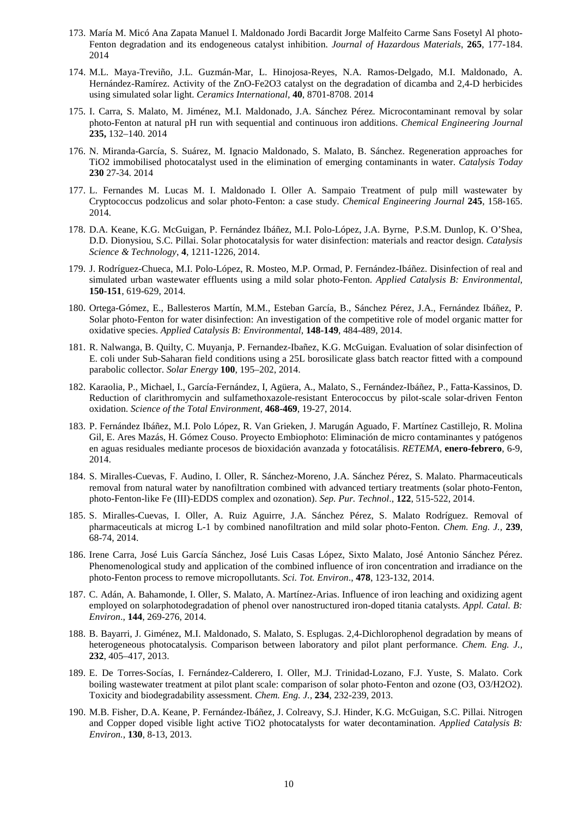- 173. María M. Micó Ana Zapata Manuel I. Maldonado Jordi Bacardit Jorge Malfeito Carme Sans Fosetyl Al photo-Fenton degradation and its endogeneous catalyst inhibition. *Journal of Hazardous Materials*, **265**, 177-184. 2014
- 174. M.L. Maya-Treviño, J.L. Guzmán-Mar, L. Hinojosa-Reyes, N.A. Ramos-Delgado, M.I. Maldonado, A. Hernández-Ramírez. Activity of the ZnO-Fe2O3 catalyst on the degradation of dicamba and 2,4-D herbicides using simulated solar light. *Ceramics International,* **40**, 8701-8708. 2014
- 175. I. Carra, S. Malato, M. Jiménez, M.I. Maldonado, J.A. Sánchez Pérez. Microcontaminant removal by solar photo-Fenton at natural pH run with sequential and continuous iron additions. *Chemical Engineering Journal* **235,** 132–140. 2014
- 176. N. Miranda-García, S. Suárez, M. Ignacio Maldonado, S. Malato, B. Sánchez. Regeneration approaches for TiO2 immobilised photocatalyst used in the elimination of emerging contaminants in water. *Catalysis Today* **230** 27-34. 2014
- 177. L. Fernandes M. Lucas M. I. Maldonado I. Oller A. Sampaio Treatment of pulp mill wastewater by Cryptococcus podzolicus and solar photo-Fenton: a case study. *Chemical Engineering Journal* **245**, 158-165. 2014.
- 178. D.A. Keane, K.G. McGuigan, P. Fernández Ibáñez, M.I. Polo-López, J.A. Byrne, P.S.M. Dunlop, K. O'Shea, D.D. Dionysiou, S.C. Pillai. Solar photocatalysis for water disinfection: materials and reactor design. *Catalysis Science & Technology*, **4**, 1211-1226, 2014.
- 179. J. Rodríguez-Chueca, M.I. Polo-López, R. Mosteo, M.P. Ormad, P. Fernández-Ibáñez. Disinfection of real and simulated urban wastewater effluents using a mild solar photo-Fenton. *Applied Catalysis B: Environmental*, **150-151**, 619-629, 2014.
- 180. Ortega-Gómez, E., Ballesteros Martín, M.M., Esteban García, B., Sánchez Pérez, J.A., Fernández Ibáñez, P. Solar photo-Fenton for water disinfection: An investigation of the competitive role of model organic matter for oxidative species. *Applied Catalysis B: Environmental*, **148-149**, 484-489, 2014.
- 181. R. Nalwanga, B. Quilty, C. Muyanja, P. Fernandez-Ibañez, K.G. McGuigan. Evaluation of solar disinfection of E. coli under Sub-Saharan field conditions using a 25L borosilicate glass batch reactor fitted with a compound parabolic collector. *Solar Energy* **100**, 195–202, 2014.
- 182. Karaolia, P., Michael, I., García-Fernández, I, Agüera, A., Malato, S., Fernández-Ibáñez, P., Fatta-Kassinos, D. Reduction of clarithromycin and sulfamethoxazole-resistant Enterococcus by pilot-scale solar-driven Fenton oxidation. *Science of the Total Environment*, **468-469**, 19-27, 2014.
- 183. P. Fernández Ibáñez, M.I. Polo López, R. Van Grieken, J. Marugán Aguado, F. Martínez Castillejo, R. Molina Gil, E. Ares Mazás, H. Gómez Couso. Proyecto Embiophoto: Eliminación de micro contaminantes y patógenos en aguas residuales mediante procesos de bioxidación avanzada y fotocatálisis. *RETEMA*, **enero-febrero**, 6-9, 2014.
- 184. S. Miralles-Cuevas, F. Audino, I. Oller, R. Sánchez-Moreno, J.A. Sánchez Pérez, S. Malato. Pharmaceuticals removal from natural water by nanofiltration combined with advanced tertiary treatments (solar photo-Fenton, photo-Fenton-like Fe (III)-EDDS complex and ozonation). *Sep. Pur. Technol*., **122**, 515-522, 2014.
- 185. S. Miralles-Cuevas, I. Oller, A. Ruiz Aguirre, J.A. Sánchez Pérez, S. Malato Rodríguez. Removal of pharmaceuticals at microg L-1 by combined nanofiltration and mild solar photo-Fenton. *Chem. Eng. J.,* **239**, 68-74, 2014.
- 186. Irene Carra, José Luis García Sánchez, José Luis Casas López, Sixto Malato, José Antonio Sánchez Pérez. Phenomenological study and application of the combined influence of iron concentration and irradiance on the photo-Fenton process to remove micropollutants. *Sci. Tot. Environ*., **478**, 123-132, 2014.
- 187. C. Adán, A. Bahamonde, I. Oller, S. Malato, A. Martínez-Arias. Influence of iron leaching and oxidizing agent employed on solarphotodegradation of phenol over nanostructured iron-doped titania catalysts. *Appl. Catal. B: Environ*., **144**, 269-276, 2014.
- 188. B. Bayarri, J. Giménez, M.I. Maldonado, S. Malato, S. Esplugas. 2,4-Dichlorophenol degradation by means of heterogeneous photocatalysis. Comparison between laboratory and pilot plant performance. *Chem. Eng. J.,* **232**, 405–417, 2013.
- 189. E. De Torres-Socías, I. Fernández-Calderero, I. Oller, M.J. Trinidad-Lozano, F.J. Yuste, S. Malato. Cork boiling wastewater treatment at pilot plant scale: comparison of solar photo-Fenton and ozone (O3, O3/H2O2). Toxicity and biodegradability assessment. *Chem. Eng. J.,* **234**, 232-239, 2013.
- 190. M.B. Fisher, D.A. Keane, P. Fernández-Ibáñez, J. Colreavy, S.J. Hinder, K.G. McGuigan, S.C. Pillai. Nitrogen and Copper doped visible light active TiO2 photocatalysts for water decontamination. *Applied Catalysis B: Environ.*, **130**, 8-13, 2013.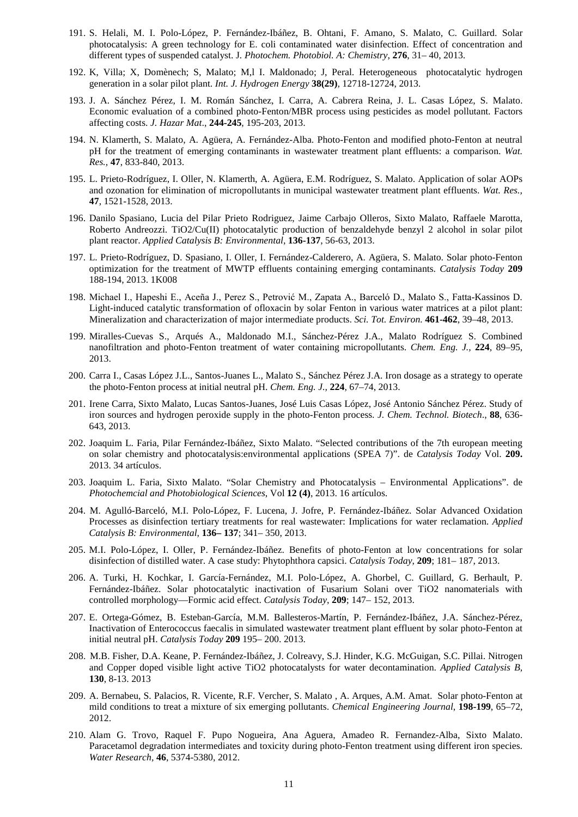- 191. S. Helali, M. I. Polo-López, P. Fernández-Ibáñez, B. Ohtani, F. Amano, S. Malato, C. Guillard. Solar photocatalysis: A green technology for E. coli contaminated water disinfection. Effect of concentration and different types of suspended catalyst. J*. Photochem. Photobiol. A: Chemistry*, **276**, 31– 40, 2013.
- 192. K, Villa; X, Domènech; S, Malato; M,l I. Maldonado; J, Peral. Heterogeneous photocatalytic hydrogen generation in a solar pilot plant. *Int. J. Hydrogen Energy* **38(29)**, 12718-12724, 2013.
- 193. J. A. Sánchez Pérez, I. M. Román Sánchez, I. Carra, A. Cabrera Reina, J. L. Casas López, S. Malato. Economic evaluation of a combined photo-Fenton/MBR process using pesticides as model pollutant. Factors affecting costs. *J. Hazar Mat*., **244-245**, 195-203, 2013.
- 194. N. Klamerth, S. Malato, A. Agüera, A. Fernández-Alba. Photo-Fenton and modified photo-Fenton at neutral pH for the treatment of emerging contaminants in wastewater treatment plant effluents: a comparison. *Wat. Res.,* **47**, 833-840, 2013.
- 195. L. Prieto-Rodríguez, I. Oller, N. Klamerth, A. Agüera, E.M. Rodríguez, S. Malato. Application of solar AOPs and ozonation for elimination of micropollutants in municipal wastewater treatment plant effluents. *Wat. Res.,* **47**, 1521-1528, 2013.
- 196. Danilo Spasiano, Lucia del Pilar Prieto Rodriguez, Jaime Carbajo Olleros, Sixto Malato, Raffaele Marotta, Roberto Andreozzi. TiO2/Cu(II) photocatalytic production of benzaldehyde benzyl 2 alcohol in solar pilot plant reactor. *Applied Catalysis B: Environmental*, **136-137**, 56-63, 2013.
- 197. L. Prieto-Rodríguez, D. Spasiano, I. Oller, I. Fernández-Calderero, A. Agüera, S. Malato. Solar photo-Fenton optimization for the treatment of MWTP effluents containing emerging contaminants. *Catalysis Today* **209** 188-194, 2013. 1K008
- 198. Michael I., Hapeshi E., Aceña J., Perez S., Petrović M., Zapata A., Barceló D., Malato S., Fatta-Kassinos D. Light-induced catalytic transformation of ofloxacin by solar Fenton in various water matrices at a pilot plant: Mineralization and characterization of major intermediate products. *Sci. Tot. Environ.* **461-462**, 39–48, 2013.
- 199. Miralles-Cuevas S., Arqués A., Maldonado M.I., Sánchez-Pérez J.A., Malato Rodríguez S. Combined nanofiltration and photo-Fenton treatment of water containing micropollutants. *Chem. Eng. J.,* **224**, 89–95, 2013.
- 200. Carra I., Casas López J.L., Santos-Juanes L., Malato S., Sánchez Pérez J.A. Iron dosage as a strategy to operate the photo-Fenton process at initial neutral pH. *Chem. Eng. J.,* **224**, 67–74, 2013.
- 201. Irene Carra, Sixto Malato, Lucas Santos-Juanes, José Luis Casas López, José Antonio Sánchez Pérez. Study of iron sources and hydrogen peroxide supply in the photo-Fenton process. *J. Chem. Technol. Biotech*., **88**, 636- 643, 2013.
- 202. Joaquim L. Faria, Pilar Fernández-Ibáñez, Sixto Malato. "Selected contributions of the 7th european meeting on solar chemistry and photocatalysis:environmental applications (SPEA 7)". de *Catalysis Today* Vol. **209.** 2013. 34 artículos.
- 203. Joaquim L. Faria, Sixto Malato. "Solar Chemistry and Photocatalysis Environmental Applications". de *Photochemcial and Photobiological Sciences*, Vol **12 (4)**, 2013. 16 artículos.
- 204. M. Agulló-Barceló, M.I. Polo-López, F. Lucena, J. Jofre, P. Fernández-Ibáñez. Solar Advanced Oxidation Processes as disinfection tertiary treatments for real wastewater: Implications for water reclamation. *Applied Catalysis B: Environmental*, **136– 137**; 341– 350, 2013.
- 205. M.I. Polo-López, I. Oller, P. Fernández-Ibáñez. Benefits of photo-Fenton at low concentrations for solar disinfection of distilled water. A case study: Phytophthora capsici. *Catalysis Today*, **209**; 181– 187, 2013.
- 206. A. Turki, H. Kochkar, I. García-Fernández, M.I. Polo-López, A. Ghorbel, C. Guillard, G. Berhault, P. Fernández-Ibáñez. Solar photocatalytic inactivation of Fusarium Solani over TiO2 nanomaterials with controlled morphology—Formic acid effect. *Catalysis Today*, **209**; 147– 152, 2013.
- 207. E. Ortega-Gómez, B. Esteban-García, M.M. Ballesteros-Martín, P. Fernández-Ibáñez, J.A. Sánchez-Pérez, Inactivation of Enterococcus faecalis in simulated wastewater treatment plant effluent by solar photo-Fenton at initial neutral pH. *Catalysis Today* **209** 195– 200. 2013.
- 208. M.B. Fisher, D.A. Keane, P. Fernández-Ibáñez, J. Colreavy, S.J. Hinder, K.G. McGuigan, S.C. Pillai. Nitrogen and Copper doped visible light active TiO2 photocatalysts for water decontamination. *Applied Catalysis B,* **130**, 8-13. 2013
- 209. A. Bernabeu, S. Palacios, R. Vicente, R.F. Vercher, S. Malato , A. Arques, A.M. Amat. Solar photo-Fenton at mild conditions to treat a mixture of six emerging pollutants. *Chemical Engineering Journal*, **198-199**, 65–72, 2012.
- 210. Alam G. Trovo, Raquel F. Pupo Nogueira, Ana Aguera, Amadeo R. Fernandez-Alba, Sixto Malato. Paracetamol degradation intermediates and toxicity during photo-Fenton treatment using different iron species. *Water Research,* **46**, 5374-5380, 2012.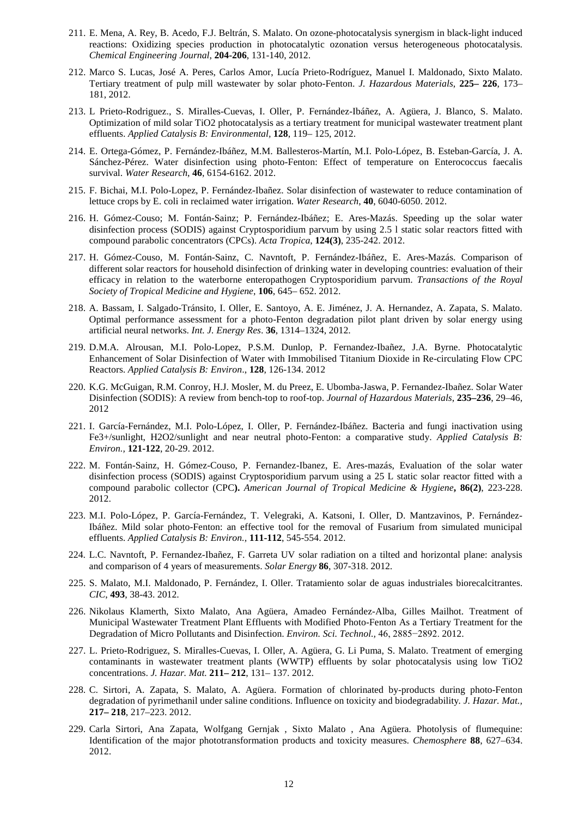- 211. E. Mena, A. Rey, B. Acedo, F.J. Beltrán, S. Malato. On ozone-photocatalysis synergism in black-light induced reactions: Oxidizing species production in photocatalytic ozonation versus heterogeneous photocatalysis. *Chemical Engineering Journal*, **204-206**, 131-140, 2012.
- 212. Marco S. Lucas, José A. Peres, Carlos Amor, Lucía Prieto-Rodríguez, Manuel I. Maldonado, Sixto Malato. Tertiary treatment of pulp mill wastewater by solar photo-Fenton. *J. Hazardous Materials*, **225– 226**, 173– 181, 2012.
- 213. L Prieto-Rodriguez., S. Miralles-Cuevas, I. Oller, P. Fernández-Ibáñez, A. Agüera, J. Blanco, S. Malato. Optimization of mild solar TiO2 photocatalysis as a tertiary treatment for municipal wastewater treatment plant effluents. *Applied Catalysis B: Environmental,* **128**, 119– 125, 2012.
- 214. E. Ortega-Gómez, P. Fernández-Ibáñez, M.M. Ballesteros-Martín, M.I. Polo-López, B. Esteban-García, J. A. Sánchez-Pérez. Water disinfection using photo-Fenton: Effect of temperature on Enterococcus faecalis survival. *Water Research*, **46**, 6154-6162. 2012.
- 215. F. Bichai, M.I. Polo-Lopez, P. Fernández-Ibañez. Solar disinfection of wastewater to reduce contamination of lettuce crops by E. coli in reclaimed water irrigation. *Water Research*, **40**, 6040-6050. 2012.
- 216. H. Gómez-Couso; M. Fontán-Sainz; P. Fernández-Ibáñez; E. Ares-Mazás. Speeding up the solar water disinfection process (SODIS) against Cryptosporidium parvum by using 2.5 l static solar reactors fitted with compound parabolic concentrators (CPCs). *Acta Tropica*, **124(3)**, 235-242. 2012.
- 217. H. Gómez-Couso, M. Fontán-Sainz, C. Navntoft, P. Fernández-Ibáñez, E. Ares-Mazás. Comparison of different solar reactors for household disinfection of drinking water in developing countries: evaluation of their efficacy in relation to the waterborne enteropathogen Cryptosporidium parvum. *Transactions of the Royal Society of Tropical Medicine and Hygiene*, **106**, 645– 652. 2012.
- 218. A. Bassam, I. Salgado-Tránsito, I. Oller, E. Santoyo, A. E. Jiménez, J. A. Hernandez, A. Zapata, S. Malato. Optimal performance assessment for a photo-Fenton degradation pilot plant driven by solar energy using artificial neural networks. *Int. J. Energy Res*. **36**, 1314–1324, 2012.
- 219. D.M.A. Alrousan, M.I. Polo-Lopez, P.S.M. Dunlop, P. Fernandez-Ibañez, J.A. Byrne. Photocatalytic Enhancement of Solar Disinfection of Water with Immobilised Titanium Dioxide in Re-circulating Flow CPC Reactors. *Applied Catalysis B: Environ*., **128**, 126-134. 2012
- 220. K.G. McGuigan, R.M. Conroy, H.J. Mosler, M. du Preez, E. Ubomba-Jaswa, P. Fernandez-Ibañez. Solar Water Disinfection (SODIS): A review from bench-top to roof-top. *Journal of Hazardous Materials*, **235–236**, 29–46, 2012
- 221. I. García-Fernández, M.I. Polo-López, I. Oller, P. Fernández-Ibáñez. Bacteria and fungi inactivation using Fe3+/sunlight, H2O2/sunlight and near neutral photo-Fenton: a comparative study. *Applied Catalysis B: Environ.,* **121-122**, 20-29. 2012.
- 222. M. Fontán-Sainz, H. Gómez-Couso, P. Fernandez-Ibanez, E. Ares-mazás, Evaluation of the solar water disinfection process (SODIS) against Cryptosporidium parvum using a 25 L static solar reactor fitted with a compound parabolic collector (CPC**).** *American Journal of Tropical Medicine & Hygiene***, 86(2)**, 223-228. 2012.
- 223. M.I. Polo-López, P. García-Fernández, T. Velegraki, A. Katsoni, I. Oller, D. Mantzavinos, P. Fernández-Ibáñez. Mild solar photo-Fenton: an effective tool for the removal of Fusarium from simulated municipal effluents. *Applied Catalysis B: Environ.,* **111-112**, 545-554. 2012.
- 224. L.C. Navntoft, P. Fernandez-Ibañez, F. Garreta UV solar radiation on a tilted and horizontal plane: analysis and comparison of 4 years of measurements. *Solar Energy* **86**, 307-318. 2012.
- 225. S. Malato, M.I. Maldonado, P. Fernández, I. Oller. Tratamiento solar de aguas industriales biorecalcitrantes. *CIC*, **493**, 38-43. 2012.
- 226. Nikolaus Klamerth, Sixto Malato, Ana Agüera, Amadeo Fernández-Alba, Gilles Mailhot. Treatment of Municipal Wastewater Treatment Plant Effluents with Modified Photo-Fenton As a Tertiary Treatment for the Degradation of Micro Pollutants and Disinfection. *Environ. Sci. Technol.,* 46, 2885−2892. 2012.
- 227. L. Prieto-Rodriguez, S. Miralles-Cuevas, I. Oller, A. Agüera, G. Li Puma, S. Malato. Treatment of emerging contaminants in wastewater treatment plants (WWTP) effluents by solar photocatalysis using low TiO2 concentrations. *J. Hazar. Mat.* **211– 212**, 131– 137. 2012.
- 228. C. Sirtori, A. Zapata, S. Malato, A. Agüera. Formation of chlorinated by-products during photo-Fenton degradation of pyrimethanil under saline conditions. Influence on toxicity and biodegradability*. J. Hazar. Mat.,* **217– 218**, 217–223. 2012.
- 229. Carla Sirtori, Ana Zapata, Wolfgang Gernjak , Sixto Malato , Ana Agüera. Photolysis of flumequine: Identification of the major phototransformation products and toxicity measures. *Chemosphere* **88**, 627–634. 2012.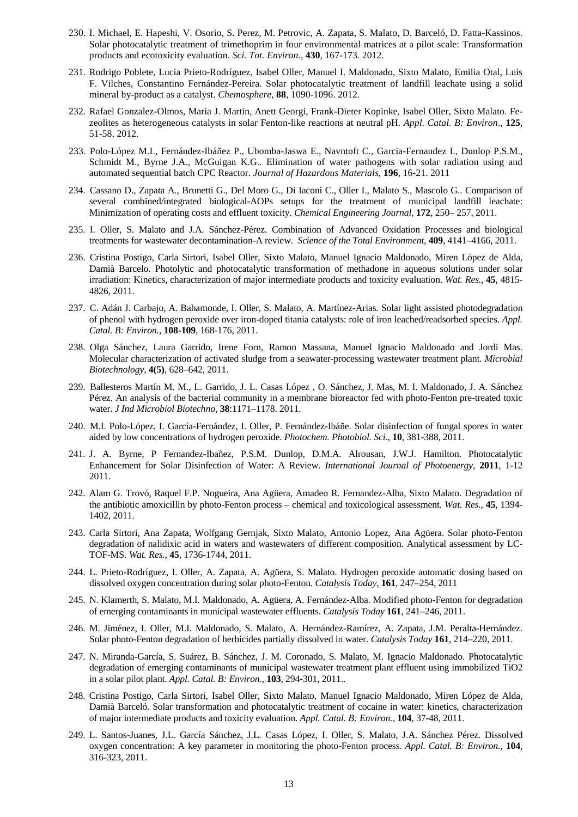- 230. I. Michael, E. Hapeshi, V. Osorio, S. Perez, M. Petrovic, A. Zapata, S. Malato, D. Barceló, D. Fatta-Kassinos. Solar photocatalytic treatment of trimethoprim in four environmental matrices at a pilot scale: Transformation products and ecotoxicity evaluation. *Sci. Tot. Environ*., **430**, 167-173. 2012.
- 231. Rodrigo Poblete, Lucia Prieto-Rodríguez, Isabel Oller, Manuel I. Maldonado, Sixto Malato, Emilia Otal, Luis F. Vilches, Constantino Fernández-Pereira. Solar photocatalytic treatment of landfill leachate using a solid mineral by-product as a catalyst. *Chemosphere,* **88**, 1090-1096. 2012.
- 232. Rafael Gonzalez-Olmos, Maria J. Martin, Anett Georgi, Frank-Dieter Kopinke, Isabel Oller, Sixto Malato. Fezeolites as heterogeneous catalysts in solar Fenton-like reactions at neutral pH. *Appl. Catal. B: Environ*., **125**, 51-58, 2012.
- 233. Polo-López M.I., Fernández-Ibáñez P., Ubomba-Jaswa E., Navntoft C., Garcia-Fernandez I., Dunlop P.S.M., Schmidt M., Byrne J.A., McGuigan K.G.. Elimination of water pathogens with solar radiation using and automated sequential batch CPC Reactor. *Journal of Hazardous Materials,* **196**, 16-21. 2011
- 234. Cassano D., Zapata A., Brunetti G., Del Moro G., Di Iaconi C., Oller I., Malato S., Mascolo G.. Comparison of several combined/integrated biological-AOPs setups for the treatment of municipal landfill leachate: Minimization of operating costs and effluent toxicity. *Chemical Engineering Journal*, **172**, 250– 257, 2011.
- 235. I. Oller, S. Malato and J.A. Sánchez-Pérez. Combination of Advanced Oxidation Processes and biological treatments for wastewater decontamination-A review. *Science of the Total Environment*, **409**, 4141–4166, 2011.
- 236. Cristina Postigo, Carla Sirtori, Isabel Oller, Sixto Malato, Manuel Ignacio Maldonado, Miren López de Alda, Damià Barcelo. Photolytic and photocatalytic transformation of methadone in aqueous solutions under solar irradiation: Kinetics, characterization of major intermediate products and toxicity evaluation. *Wat. Res.,* **45**, 4815- 4826, 2011.
- 237. C. Adán J. Carbajo, A. Bahamonde, I. Oller, S. Malato, A. Martínez-Arias. Solar light assisted photodegradation of phenol with hydrogen peroxide over iron-doped titania catalysts: role of iron leached/readsorbed species. *Appl. Catal. B: Environ.,* **108-109**, 168-176, 2011.
- 238. Olga Sánchez, Laura Garrido, Irene Forn, Ramon Massana, Manuel Ignacio Maldonado and Jordi Mas. Molecular characterization of activated sludge from a seawater-processing wastewater treatment plant. *Microbial Biotechnology*, **4(5)**, 628–642, 2011.
- 239. Ballesteros Martín M. M., L. Garrido, J. L. Casas López , O. Sánchez, J. Mas, M. I. Maldonado, J. A. Sánchez Pérez. An analysis of the bacterial community in a membrane bioreactor fed with photo-Fenton pre-treated toxic water. *J Ind Microbiol Biotechno*, **38**:1171–1178. 2011.
- 240. M.I. Polo-López, I. García-Fernández, I. Oller, P. Fernández-Ibáñe. Solar disinfection of fungal spores in water aided by low concentrations of hydrogen peroxide. *Photochem. Photobiol. Sci*., **10**, 381-388, 2011.
- 241. J. A. Byrne, P Fernandez-Ibañez, P.S.M. Dunlop, D.M.A. Alrousan, J.W.J. Hamilton. Photocatalytic Enhancement for Solar Disinfection of Water: A Review. *International Journal of Photoenergy*, **2011**, 1-12 2011.
- 242. Alam G. Trovó, Raquel F.P. Nogueira, Ana Agüera, Amadeo R. Fernandez-Alba, Sixto Malato. Degradation of the antibiotic amoxicillin by photo-Fenton process – chemical and toxicological assessment. *Wat. Res.,* **45**, 1394- 1402, 2011.
- 243. Carla Sirtori, Ana Zapata, Wolfgang Gernjak, Sixto Malato, Antonio Lopez, Ana Agüera. Solar photo-Fenton degradation of nalidixic acid in waters and wastewaters of different composition. Analytical assessment by LC-TOF-MS. *Wat. Res.*, **45**, 1736-1744, 2011.
- 244. L. Prieto-Rodríguez, I. Oller, A. Zapata, A. Agüera, S. Malato. Hydrogen peroxide automatic dosing based on dissolved oxygen concentration during solar photo-Fenton. *Catalysis Today*, **161**, 247–254, 2011
- 245. N. Klamerth, S. Malato, M.I. Maldonado, A. Agüera, A. Fernández-Alba. Modified photo-Fenton for degradation of emerging contaminants in municipal wastewater effluents. *Catalysis Today* **161**, 241–246, 2011.
- 246. M. Jiménez, I. Oller, M.I. Maldonado, S. Malato, A. Hernández-Ramírez, A. Zapata, J.M. Peralta-Hernández. Solar photo-Fenton degradation of herbicides partially dissolved in water. *Catalysis Today* **161**, 214–220, 2011.
- 247. N. Miranda-García, S. Suárez, B. Sánchez, J. M. Coronado, S. Malato, M. Ignacio Maldonado. Photocatalytic degradation of emerging contaminants of municipal wastewater treatment plant effluent using immobilized TiO2 in a solar pilot plant. *Appl. Catal. B: Environ.,* **103**, 294-301, 2011..
- 248. Cristina Postigo, Carla Sirtori, Isabel Oller, Sixto Malato, Manuel Ignacio Maldonado, Miren López de Alda, Damià Barceló. Solar transformation and photocatalytic treatment of cocaine in water: kinetics, characterization of major intermediate products and toxicity evaluation. *Appl. Catal. B: Environ.*, **104**, 37-48, 2011.
- 249. L. Santos-Juanes, J.L. García Sánchez, J.L. Casas López, I. Oller, S. Malato, J.A. Sánchez Pérez. Dissolved oxygen concentration: A key parameter in monitoring the photo-Fenton process. *Appl. Catal. B: Environ.*, **104**, 316-323, 2011.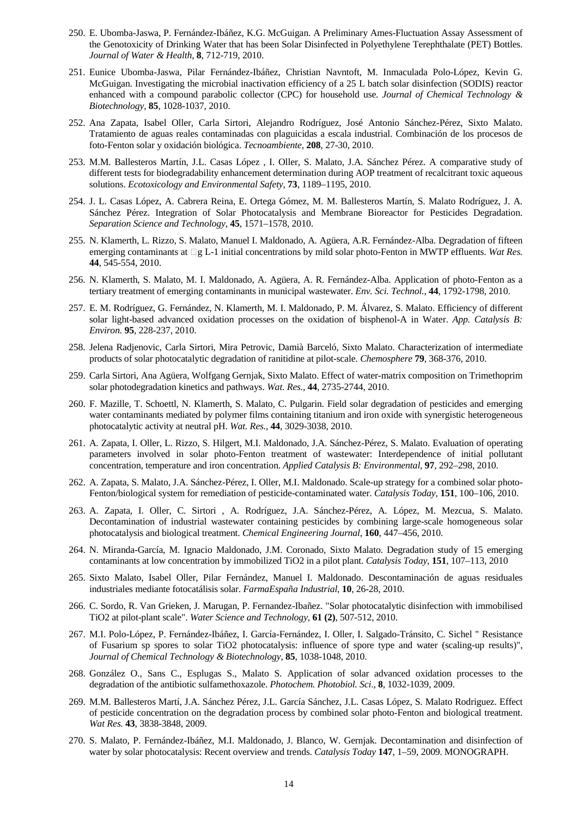- 250. E. Ubomba-Jaswa, P. Fernández-Ibáñez, K.G. McGuigan. A Preliminary Ames-Fluctuation Assay Assessment of the Genotoxicity of Drinking Water that has been Solar Disinfected in Polyethylene Terephthalate (PET) Bottles. *Journal of Water & Health*, **8**, 712-719, 2010.
- 251. Eunice Ubomba-Jaswa, Pilar Fernández-Ibáñez, Christian Navntoft, M. Inmaculada Polo-López, Kevin G. McGuigan. Investigating the microbial inactivation efficiency of a 25 L batch solar disinfection (SODIS) reactor enhanced with a compound parabolic collector (CPC) for household use. *Journal of Chemical Technology & Biotechnology*, **85**, 1028-1037, 2010.
- 252. Ana Zapata, Isabel Oller, Carla Sirtori, Alejandro Rodríguez, José Antonio Sánchez-Pérez, Sixto Malato. Tratamiento de aguas reales contaminadas con plaguicidas a escala industrial. Combinación de los procesos de foto-Fenton solar y oxidación biológica. *Tecnoambiente*, **208**, 27-30, 2010.
- 253. M.M. Ballesteros Martín, J.L. Casas López , I. Oller, S. Malato, J.A. Sánchez Pérez. A comparative study of different tests for biodegradability enhancement determination during AOP treatment of recalcitrant toxic aqueous solutions. *Ecotoxicology and Environmental Safety*, **73**, 1189–1195, 2010.
- 254. J. L. Casas López, A. Cabrera Reina, E. Ortega Gómez, M. M. Ballesteros Martín, S. Malato Rodríguez, J. A. Sánchez Pérez. Integration of Solar Photocatalysis and Membrane Bioreactor for Pesticides Degradation. *Separation Science and Technology*, **45**, 1571–1578, 2010.
- 255. N. Klamerth, L. Rizzo, S. Malato, Manuel I. Maldonado, A. Agüera, A.R. Fernández-Alba. Degradation of fifteen emerging contaminants at  $\square g L-1$  initial concentrations by mild solar photo-Fenton in MWTP effluents. *Wat Res.* **44**, 545-554, 2010.
- 256. N. Klamerth, S. Malato, M. I. Maldonado, A. Agüera, A. R. Fernández-Alba. Application of photo-Fenton as a tertiary treatment of emerging contaminants in municipal wastewater. *Env. Sci. Technol.*, **44**, 1792-1798, 2010.
- 257. E. M. Rodríguez, G. Fernández, N. Klamerth, M. I. Maldonado, P. M. Álvarez, S. Malato. Efficiency of different solar light-based advanced oxidation processes on the oxidation of bisphenol-A in Water. *App. Catalysis B: Environ.* **95**, 228-237, 2010.
- 258. Jelena Radjenovic, Carla Sirtori, Mira Petrovic, Damià Barceló, Sixto Malato. Characterization of intermediate products of solar photocatalytic degradation of ranitidine at pilot-scale. *Chemosphere* **79**, 368-376, 2010.
- 259. Carla Sirtori, Ana Agüera, Wolfgang Gernjak, Sixto Malato. Effect of water-matrix composition on Trimethoprim solar photodegradation kinetics and pathways. *Wat. Res.*, **44**, 2735-2744, 2010.
- 260. F. Mazille, T. Schoettl, N. Klamerth, S. Malato, C. Pulgarin. Field solar degradation of pesticides and emerging water contaminants mediated by polymer films containing titanium and iron oxide with synergistic heterogeneous photocatalytic activity at neutral pH. *Wat. Res.*, **44**, 3029-3038, 2010.
- 261. A. Zapata, I. Oller, L. Rizzo, S. Hilgert, M.I. Maldonado, J.A. Sánchez-Pérez, S. Malato. Evaluation of operating parameters involved in solar photo-Fenton treatment of wastewater: Interdependence of initial pollutant concentration, temperature and iron concentration. *Applied Catalysis B: Environmental*, **97**, 292–298, 2010.
- 262. A. Zapata, S. Malato, J.A. Sánchez-Pérez, I. Oller, M.I. Maldonado. Scale-up strategy for a combined solar photo-Fenton/biological system for remediation of pesticide-contaminated water. *Catalysis Today*, **151**, 100–106, 2010.
- 263. A. Zapata, I. Oller, C. Sirtori , A. Rodríguez, J.A. Sánchez-Pérez, A. López, M. Mezcua, S. Malato. Decontamination of industrial wastewater containing pesticides by combining large-scale homogeneous solar photocatalysis and biological treatment. *Chemical Engineering Journal*, **160**, 447–456, 2010.
- 264. N. Miranda-García, M. Ignacio Maldonado, J.M. Coronado, Sixto Malato. Degradation study of 15 emerging contaminants at low concentration by immobilized TiO2 in a pilot plant. *Catalysis Today*, **151**, 107–113, 2010
- 265. Sixto Malato, Isabel Oller, Pilar Fernández, Manuel I. Maldonado. Descontaminación de aguas residuales industriales mediante fotocatálisis solar. *FarmaEspaña Industrial*, **10**, 26-28, 2010.
- 266. C. Sordo, R. Van Grieken, J. Marugan, P. Fernandez-Ibañez. "Solar photocatalytic disinfection with immobilised TiO2 at pilot-plant scale". *Water Science and Technology*, **61 (2)**, 507-512, 2010.
- 267. M.I. Polo-López, P. Fernández-Ibáñez, I. García-Fernández, I. Oller, I. Salgado-Tránsito, C. Sichel " Resistance of Fusarium sp spores to solar TiO2 photocatalysis: influence of spore type and water (scaling-up results)", *Journal of Chemical Technology & Biotechnology*, **85**, 1038-1048, 2010.
- 268. González O., Sans C., Esplugas S., Malato S. Application of solar advanced oxidation processes to the degradation of the antibiotic sulfamethoxazole. *Photochem. Photobiol. Sci*., **8**, 1032-1039, 2009.
- 269. M.M. Ballesteros Martí, J.A. Sánchez Pérez, J.L. García Sánchez, J.L. Casas López, S. Malato Rodriguez. Effect of pesticide concentration on the degradation process by combined solar photo-Fenton and biological treatment. *Wat Res.* **43**, 3838-3848, 2009.
- 270. S. Malato, P. Fernández-Ibáñez, M.I. Maldonado, J. Blanco, W. Gernjak. Decontamination and disinfection of water by solar photocatalysis: Recent overview and trends. *Catalysis Today* **147**, 1–59, 2009. MONOGRAPH.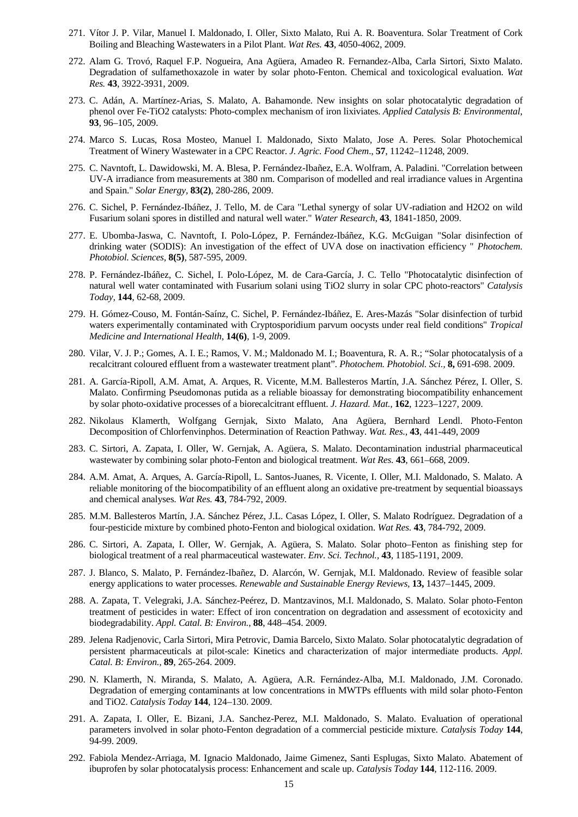- 271. Vítor J. P. Vilar, Manuel I. Maldonado, I. Oller, Sixto Malato, Rui A. R. Boaventura. Solar Treatment of Cork Boiling and Bleaching Wastewaters in a Pilot Plant. *Wat Res.* **43**, 4050-4062, 2009.
- 272. Alam G. Trovó, Raquel F.P. Nogueira, Ana Agüera, Amadeo R. Fernandez-Alba, Carla Sirtori, Sixto Malato. Degradation of sulfamethoxazole in water by solar photo-Fenton. Chemical and toxicological evaluation. *Wat Res.* **43**, 3922-3931, 2009.
- 273. C. Adán, A. Martínez-Arias, S. Malato, A. Bahamonde. New insights on solar photocatalytic degradation of phenol over Fe-TiO2 catalysts: Photo-complex mechanism of iron lixiviates. *Applied Catalysis B: Environmental*, **93**, 96–105, 2009.
- 274. Marco S. Lucas, Rosa Mosteo, Manuel I. Maldonado, Sixto Malato, Jose A. Peres. Solar Photochemical Treatment of Winery Wastewater in a CPC Reactor. *J. Agric. Food Chem*., **57**, 11242–11248, 2009.
- 275. C. Navntoft, L. Dawidowski, M. A. Blesa, P. Fernández-Ibañez, E.A. Wolfram, A. Paladini. "Correlation between UV-A irradiance from measurements at 380 nm. Comparison of modelled and real irradiance values in Argentina and Spain." *Solar Energy,* **83(2)**, 280-286, 2009.
- 276. C. Sichel, P. Fernández-Ibáñez, J. Tello, M. de Cara "Lethal synergy of solar UV-radiation and H2O2 on wild Fusarium solani spores in distilled and natural well water." *Water Research*, **43**, 1841-1850, 2009.
- 277. E. Ubomba-Jaswa, C. Navntoft, I. Polo-López, P. Fernández-Ibáñez, K.G. McGuigan "Solar disinfection of drinking water (SODIS): An investigation of the effect of UVA dose on inactivation efficiency " *Photochem. Photobiol. Sciences*, **8(5)**, 587-595, 2009.
- 278. P. Fernández-Ibáñez, C. Sichel, I. Polo-López, M. de Cara-García, J. C. Tello "Photocatalytic disinfection of natural well water contaminated with Fusarium solani using TiO2 slurry in solar CPC photo-reactors" *Catalysis Today,* **144**, 62-68, 2009.
- 279. H. Gómez-Couso, M. Fontán-Saínz, C. Sichel, P. Fernández-Ibáñez, E. Ares-Mazás "Solar disinfection of turbid waters experimentally contaminated with Cryptosporidium parvum oocysts under real field conditions" *Tropical Medicine and International Health*, **14(6)**, 1-9, 2009.
- 280. Vilar, V. J. P.; Gomes, A. I. E.; Ramos, V. M.; Maldonado M. I.; Boaventura, R. A. R.; "Solar photocatalysis of a recalcitrant coloured effluent from a wastewater treatment plant". *Photochem. Photobiol. Sci.,* **8,** 691-698. 2009.
- 281. A. García-Ripoll, A.M. Amat, A. Arques, R. Vicente, M.M. Ballesteros Martín, J.A. Sánchez Pérez, I. Oller, S. Malato. Confirming Pseudomonas putida as a reliable bioassay for demonstrating biocompatibility enhancement by solar photo-oxidative processes of a biorecalcitrant effluent. *J. Hazard. Mat.,* **162**, 1223–1227, 2009.
- 282. Nikolaus Klamerth, Wolfgang Gernjak, Sixto Malato, Ana Agüera, Bernhard Lendl. Photo-Fenton Decomposition of Chlorfenvinphos. Determination of Reaction Pathway. *Wat. Res.,* **43**, 441-449, 2009
- 283. C. Sirtori, A. Zapata, I. Oller, W. Gernjak, A. Agüera, S. Malato. Decontamination industrial pharmaceutical wastewater by combining solar photo-Fenton and biological treatment. *Wat Res.* **43**, 661–668, 2009.
- 284. A.M. Amat, A. Arques, A. García-Ripoll, L. Santos-Juanes, R. Vicente, I. Oller, M.I. Maldonado, S. Malato. A reliable monitoring of the biocompatibility of an effluent along an oxidative pre-treatment by sequential bioassays and chemical analyses. *Wat Res.* **43**, 784-792, 2009.
- 285. M.M. Ballesteros Martín, J.A. Sánchez Pérez, J.L. Casas López, I. Oller, S. Malato Rodríguez. Degradation of a four-pesticide mixture by combined photo-Fenton and biological oxidation. *Wat Res.* **43**, 784-792, 2009.
- 286. C. Sirtori, A. Zapata, I. Oller, W. Gernjak, A. Agüera, S. Malato. Solar photo–Fenton as finishing step for biological treatment of a real pharmaceutical wastewater. *Env. Sci. Technol.,* **43**, 1185-1191, 2009.
- 287. J. Blanco, S. Malato, P. Fernández-Ibañez, D. Alarcón, W. Gernjak, M.I. Maldonado. Review of feasible solar energy applications to water processes. *Renewable and Sustainable Energy Reviews,* **13,** 1437–1445, 2009.
- 288. A. Zapata, T. Velegraki, J.A. Sánchez-Peérez, D. Mantzavinos, M.I. Maldonado, S. Malato. Solar photo-Fenton treatment of pesticides in water: Effect of iron concentration on degradation and assessment of ecotoxicity and biodegradability. *Appl. Catal. B: Environ.*, **88**, 448–454. 2009.
- 289. Jelena Radjenovic, Carla Sirtori, Mira Petrovic, Damia Barcelo, Sixto Malato. Solar photocatalytic degradation of persistent pharmaceuticals at pilot-scale: Kinetics and characterization of major intermediate products. *Appl. Catal. B: Environ.,* **89**, 265-264. 2009.
- 290. N. Klamerth, N. Miranda, S. Malato, A. Agüera, A.R. Fernández-Alba, M.I. Maldonado, J.M. Coronado. Degradation of emerging contaminants at low concentrations in MWTPs effluents with mild solar photo-Fenton and TiO2. *Catalysis Today* **144**, 124–130. 2009.
- 291. A. Zapata, I. Oller, E. Bizani, J.A. Sanchez-Perez, M.I. Maldonado, S. Malato. Evaluation of operational parameters involved in solar photo-Fenton degradation of a commercial pesticide mixture. *Catalysis Today* **144**, 94-99. 2009.
- 292. Fabiola Mendez-Arriaga, M. Ignacio Maldonado, Jaime Gimenez, Santi Esplugas, Sixto Malato. Abatement of ibuprofen by solar photocatalysis process: Enhancement and scale up. *Catalysis Today* **144**, 112-116. 2009.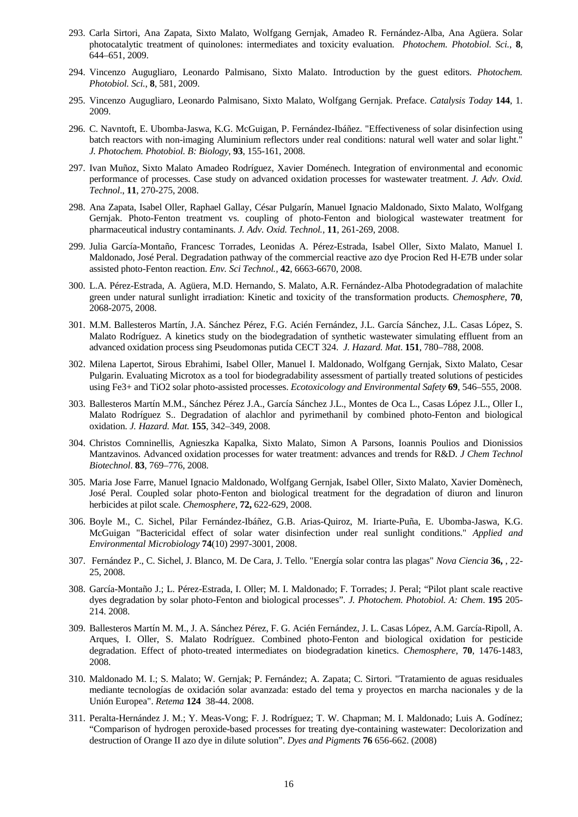- 293. Carla Sirtori, Ana Zapata, Sixto Malato, Wolfgang Gernjak, Amadeo R. Fernández-Alba, Ana Agüera. Solar photocatalytic treatment of quinolones: intermediates and toxicity evaluation. *Photochem. Photobiol. Sci.*, **8**, 644–651, 2009.
- 294. Vincenzo Augugliaro, Leonardo Palmisano, Sixto Malato. Introduction by the guest editors. *Photochem. Photobiol. Sci.*, **8**, 581, 2009.
- 295. Vincenzo Augugliaro, Leonardo Palmisano, Sixto Malato, Wolfgang Gernjak. Preface. *Catalysis Today* **144**, 1. 2009.
- 296. C. Navntoft, E. Ubomba-Jaswa, K.G. McGuigan, P. Fernández-Ibáñez. "Effectiveness of solar disinfection using batch reactors with non-imaging Aluminium reflectors under real conditions: natural well water and solar light." *J. Photochem. Photobiol. B: Biology*, **93**, 155-161, 2008.
- 297. Ivan Muñoz, Sixto Malato Amadeo Rodríguez, Xavier Doménech. Integration of environmental and economic performance of processes. Case study on advanced oxidation processes for wastewater treatment. *J. Adv. Oxid. Technol*., **11**, 270-275, 2008.
- 298. Ana Zapata, Isabel Oller, Raphael Gallay, César Pulgarín, Manuel Ignacio Maldonado, Sixto Malato, Wolfgang Gernjak. Photo-Fenton treatment vs. coupling of photo-Fenton and biological wastewater treatment for pharmaceutical industry contaminants. *J. Adv. Oxid. Technol.,* **11**, 261-269, 2008.
- 299. Julia García-Montaño, Francesc Torrades, Leonidas A. Pérez-Estrada, Isabel Oller, Sixto Malato, Manuel I. Maldonado, José Peral. Degradation pathway of the commercial reactive azo dye Procion Red H-E7B under solar assisted photo-Fenton reaction. *Env. Sci Technol.,* **42**, 6663-6670, 2008.
- 300. L.A. Pérez-Estrada, A. Agüera, M.D. Hernando, S. Malato, A.R. Fernández-Alba Photodegradation of malachite green under natural sunlight irradiation: Kinetic and toxicity of the transformation products. *Chemosphere*, **70**, 2068-2075, 2008.
- 301. M.M. Ballesteros Martín, J.A. Sánchez Pérez, F.G. Acién Fernández, J.L. García Sánchez, J.L. Casas López, S. Malato Rodríguez. A kinetics study on the biodegradation of synthetic wastewater simulating effluent from an advanced oxidation process sing Pseudomonas putida CECT 324. *J. Hazard. Mat*. **151**, 780–788, 2008.
- 302. Milena Lapertot, Sirous Ebrahimi, Isabel Oller, Manuel I. Maldonado, Wolfgang Gernjak, Sixto Malato, Cesar Pulgarin. Evaluating Microtox as a tool for biodegradability assessment of partially treated solutions of pesticides using Fe3+ and TiO2 solar photo-assisted processes. *Ecotoxicology and Environmental Safety* **69**, 546–555, 2008.
- 303. Ballesteros Martín M.M., Sánchez Pérez J.A., García Sánchez J.L., Montes de Oca L., Casas López J.L., Oller I., Malato Rodríguez S.. Degradation of alachlor and pyrimethanil by combined photo-Fenton and biological oxidation. *J. Hazard. Mat.* **155**, 342–349, 2008.
- 304. Christos Comninellis, Agnieszka Kapalka, Sixto Malato, Simon A Parsons, Ioannis Poulios and Dionissios Mantzavinos. Advanced oxidation processes for water treatment: advances and trends for R&D. *J Chem Technol Biotechnol*. **83**, 769–776, 2008.
- 305. Maria Jose Farre, Manuel Ignacio Maldonado, Wolfgang Gernjak, Isabel Oller, Sixto Malato, Xavier Domènech, José Peral. Coupled solar photo-Fenton and biological treatment for the degradation of diuron and linuron herbicides at pilot scale. *Chemosphere*, **72,** 622-629, 2008.
- 306. Boyle M., C. Sichel, Pilar Fernández-Ibáñez, G.B. Arias-Quiroz, M. Iriarte-Puña, E. Ubomba-Jaswa, K.G. McGuigan "Bactericidal effect of solar water disinfection under real sunlight conditions." *Applied and Environmental Microbiology* **74**(10) 2997-3001, 2008.
- 307. Fernández P., C. Sichel, J. Blanco, M. De Cara, J. Tello. "Energía solar contra las plagas" *Nova Ciencia* **36,** , 22- 25, 2008.
- 308. García-Montaño J.; L. Pérez-Estrada, I. Oller; M. I. Maldonado; F. Torrades; J. Peral; "Pilot plant scale reactive dyes degradation by solar photo-Fenton and biological processes". *J. Photochem. Photobiol. A: Chem*. **195** 205- 214. 2008.
- 309. Ballesteros Martín M. M., J. A. Sánchez Pérez, F. G. Acién Fernández, J. L. Casas López, A.M. García-Ripoll, A. Arques, I. Oller, S. Malato Rodríguez. Combined photo-Fenton and biological oxidation for pesticide degradation. Effect of photo-treated intermediates on biodegradation kinetics. *Chemosphere*, **70**, 1476-1483, 2008.
- 310. Maldonado M. I.; S. Malato; W. Gernjak; P. Fernández; A. Zapata; C. Sirtori. "Tratamiento de aguas residuales mediante tecnologías de oxidación solar avanzada: estado del tema y proyectos en marcha nacionales y de la Unión Europea". *Retema* **124** 38-44. 2008.
- 311. Peralta-Hernández J. M.; Y. Meas-Vong; F. J. Rodríguez; T. W. Chapman; M. I. Maldonado; Luis A. Godínez; "Comparison of hydrogen peroxide-based processes for treating dye-containing wastewater: Decolorization and destruction of Orange II azo dye in dilute solution". *Dyes and Pigments* **76** 656-662. (2008)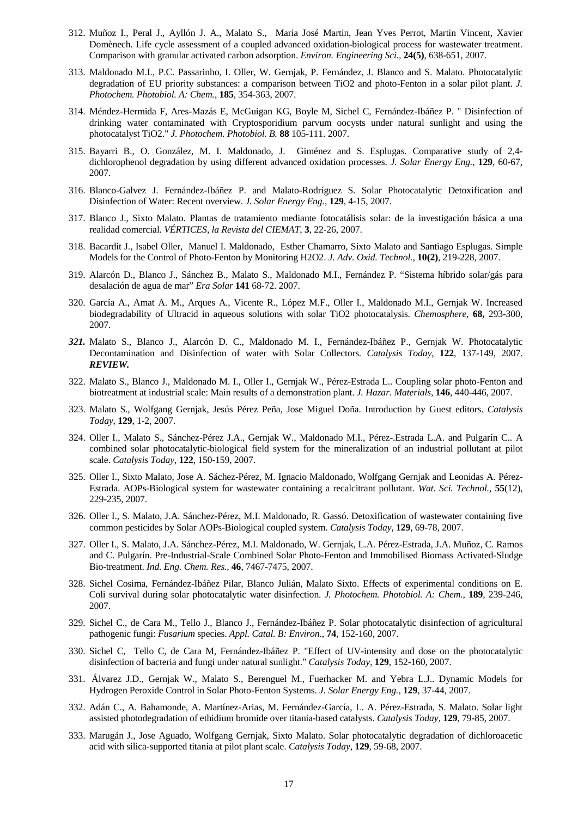- 312. Muñoz I., Peral J., Ayllón J. A., Malato S., Maria José Martin, Jean Yves Perrot, Martin Vincent, Xavier Domènech. Life cycle assessment of a coupled advanced oxidation-biological process for wastewater treatment. Comparison with granular activated carbon adsorption. *Environ. Engineering Sci.,* **24(5)**, 638-651, 2007.
- 313. Maldonado M.I., P.C. Passarinho, I. Oller, W. Gernjak, P. Fernández, J. Blanco and S. Malato. Photocatalytic degradation of EU priority substances: a comparison between TiO2 and photo-Fenton in a solar pilot plant. *J. Photochem. Photobiol. A: Chem.*, **185**, 354-363, 2007.
- 314. Méndez-Hermida F, Ares-Mazás E, McGuigan KG, Boyle M, Sichel C, Fernández-Ibáñez P. " Disinfection of drinking water contaminated with Cryptosporidium parvum oocysts under natural sunlight and using the photocatalyst TiO2." *J. Photochem. Photobiol. B.* **88** 105-111. 2007.
- 315. Bayarri B., O. González, M. I. Maldonado, J. Giménez and S. Esplugas. Comparative study of 2,4 dichlorophenol degradation by using different advanced oxidation processes. *J. Solar Energy Eng.*, **129**, 60-67, 2007.
- 316. Blanco-Galvez J. Fernández-Ibáñez P. and Malato-Rodríguez S. Solar Photocatalytic Detoxification and Disinfection of Water: Recent overview. *J. Solar Energy Eng.*, **129**, 4-15, 2007.
- 317. Blanco J., Sixto Malato. Plantas de tratamiento mediante fotocatálisis solar: de la investigación básica a una realidad comercial. *VÉRTICES, la Revista del CIEMAT*, **3**, 22-26, 2007.
- 318. Bacardit J., Isabel Oller, Manuel I. Maldonado, Esther Chamarro, Sixto Malato and Santiago Esplugas. Simple Models for the Control of Photo-Fenton by Monitoring H2O2. *J. Adv. Oxid. Technol.,* **10(2)**, 219-228, 2007.
- 319. Alarcón D., Blanco J., Sánchez B., Malato S., Maldonado M.I., Fernández P. "Sistema híbrido solar/gás para desalación de agua de mar" *Era Solar* **141** 68-72. 2007.
- 320. García A., Amat A. M., Arques A., Vicente R., López M.F., Oller I., Maldonado M.I., Gernjak W. Increased biodegradability of Ultracid in aqueous solutions with solar TiO2 photocatalysis. *Chemosphere,* **68,** 293-300, 2007.
- *321.* Malato S., Blanco J., Alarcón D. C., Maldonado M. I., Fernández-Ibáñez P., Gernjak W. Photocatalytic Decontamination and Disinfection of water with Solar Collectors. *Catalysis Today*, **122**, 137-149, 2007. *REVIEW.*
- 322. Malato S., Blanco J., Maldonado M. I., Oller I., Gernjak W., Pérez-Estrada L.. Coupling solar photo-Fenton and biotreatment at industrial scale: Main results of a demonstration plant. *J. Hazar. Materials,* **146**, 440-446, 2007.
- 323. Malato S., Wolfgang Gernjak, Jesús Pérez Peña, Jose Miguel Doña. Introduction by Guest editors. *Catalysis Today*, **129**, 1-2, 2007.
- 324. Oller I., Malato S., Sánchez-Pérez J.A., Gernjak W., Maldonado M.I., Pérez-.Estrada L.A. and Pulgarín C.. A combined solar photocatalytic-biological field system for the mineralization of an industrial pollutant at pilot scale. *Catalysis Today,* **122**, 150-159, 2007.
- 325. Oller I., Sixto Malato, Jose A. Sáchez-Pérez, M. Ignacio Maldonado, Wolfgang Gernjak and Leonidas A. Pérez-Estrada. AOPs-Biological system for wastewater containing a recalcitrant pollutant. *Wat. Sci. Technol.,* **55**(12), 229-235, 2007.
- 326. Oller I., S. Malato, J.A. Sánchez-Pérez, M.I. Maldonado, R. Gassó. Detoxification of wastewater containing five common pesticides by Solar AOPs-Biological coupled system. *Catalysis Today*, **129**, 69-78, 2007.
- 327. Oller I., S. Malato, J.A. Sánchez-Pérez, M.I. Maldonado, W. Gernjak, L.A. Pérez-Estrada, J.A. Muñoz, C. Ramos and C. Pulgarín. Pre-Industrial-Scale Combined Solar Photo-Fenton and Immobilised Biomass Activated-Sludge Bio-treatment. *Ind. Eng. Chem. Res.,* **46**, 7467-7475, 2007.
- 328. Sichel Cosima, Fernández-Ibáñez Pilar, Blanco Julián, Malato Sixto. Effects of experimental conditions on E. Coli survival during solar photocatalytic water disinfection. *J. Photochem. Photobiol. A: Chem.,* **189**, 239-246, 2007.
- 329. Sichel C., de Cara M., Tello J., Blanco J., Fernández-Ibáñez P. Solar photocatalytic disinfection of agricultural pathogenic fungi: *Fusarium* species. *Appl. Catal. B: Environ*., **74**, 152-160, 2007.
- 330. Sichel C, Tello C, de Cara M, Fernández-Ibáñez P. "Effect of UV-intensity and dose on the photocatalytic disinfection of bacteria and fungi under natural sunlight." *Catalysis Today,* **129**, 152-160, 2007.
- 331. Álvarez J.D., Gernjak W., Malato S., Berenguel M., Fuerhacker M. and Yebra L.J.. Dynamic Models for Hydrogen Peroxide Control in Solar Photo-Fenton Systems. *J. Solar Energy Eng.*, **129**, 37-44, 2007.
- 332. Adán C., A. Bahamonde, A. Martínez-Arias, M. Fernández-García, L. A. Pérez-Estrada, S. Malato. Solar light assisted photodegradation of ethidium bromide over titania-based catalysts. *Catalysis Today,* **129**, 79-85, 2007.
- 333. Marugán J., Jose Aguado, Wolfgang Gernjak, Sixto Malato. Solar photocatalytic degradation of dichloroacetic acid with silica-supported titania at pilot plant scale. *Catalysis Today*, **129**, 59-68, 2007.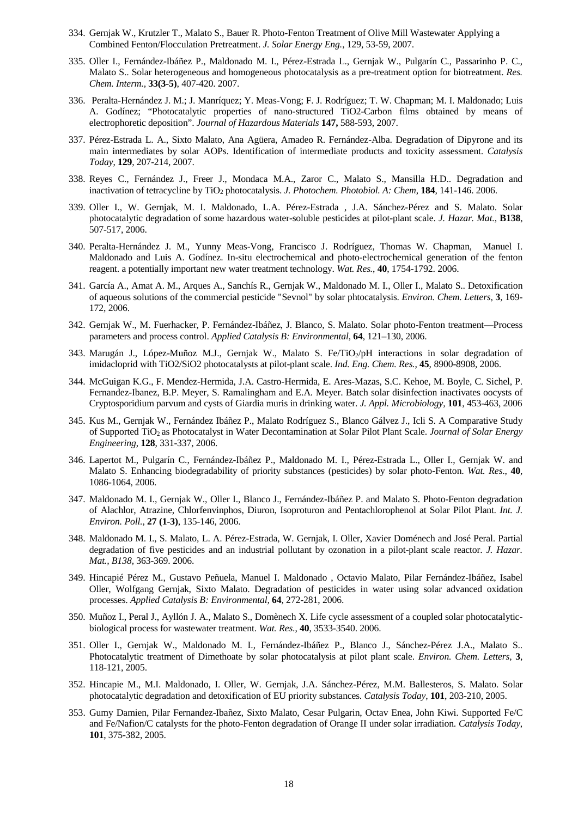- 334. Gernjak W., Krutzler T., Malato S., Bauer R. Photo-Fenton Treatment of Olive Mill Wastewater Applying a Combined Fenton/Flocculation Pretreatment. *J. Solar Energy Eng.*, 129, 53-59, 2007.
- 335. Oller I., Fernández-Ibáñez P., Maldonado M. I., Pérez-Estrada L., Gernjak W., Pulgarín C., Passarinho P. C., Malato S.. Solar heterogeneous and homogeneous photocatalysis as a pre-treatment option for biotreatment. *Res. Chem. Interm.,* **33(3-5)**, 407-420. 2007.
- 336. Peralta-Hernández J. M.; J. Manríquez; Y. Meas-Vong; F. J. Rodríguez; T. W. Chapman; M. I. Maldonado; Luis A. Godínez; "Photocatalytic properties of nano-structured TiO2-Carbon films obtained by means of electrophoretic deposition". *Journal of Hazardous Materials* **147,** 588-593, 2007.
- 337. Pérez-Estrada L. A., Sixto Malato, Ana Agüera, Amadeo R. Fernández-Alba. Degradation of Dipyrone and its main intermediates by solar AOPs. Identification of intermediate products and toxicity assessment. *Catalysis Today*, **129**, 207-214, 2007.
- 338. Reyes C., Fernández J., Freer J., Mondaca M.A., Zaror C., Malato S., Mansilla H.D.. Degradation and inactivation of tetracycline by TiO2 photocatalysis. *J. Photochem. Photobiol. A: Chem*, **184**, 141-146. 2006.
- 339. Oller I., W. Gernjak, M. I. Maldonado, L.A. Pérez-Estrada , J.A. Sánchez-Pérez and S. Malato. Solar photocatalytic degradation of some hazardous water-soluble pesticides at pilot-plant scale. *J. Hazar. Mat.*, **B138**, 507-517, 2006.
- 340. Peralta-Hernández J. M., Yunny Meas-Vong, Francisco J. Rodríguez, Thomas W. Chapman, Manuel I. Maldonado and Luis A. Godínez. In-situ electrochemical and photo-electrochemical generation of the fenton reagent. a potentially important new water treatment technology. *Wat. Res.*, **40**, 1754-1792. 2006.
- 341. García A., Amat A. M., Arques A., Sanchís R., Gernjak W., Maldonado M. I., Oller I., Malato S.. Detoxification of aqueous solutions of the commercial pesticide "Sevnol" by solar phtocatalysis. *Environ. Chem. Letters,* **3**, 169- 172, 2006.
- 342. Gernjak W., M. Fuerhacker, P. Fernández-Ibáñez, J. Blanco, S. Malato. Solar photo-Fenton treatment—Process parameters and process control. *Applied Catalysis B: Environmental*, **64**, 121–130, 2006.
- 343. Marugán J., López-Muñoz M.J., Gernjak W., Malato S. Fe/TiO<sub>2</sub>/pH interactions in solar degradation of imidacloprid with TiO2/SiO2 photocatalysts at pilot-plant scale. *Ind. Eng. Chem. Res.*, **45**, 8900-8908, 2006.
- 344. McGuigan K.G., F. Mendez-Hermida, J.A. Castro-Hermida, E. Ares-Mazas, S.C. Kehoe, M. Boyle, C. Sichel, P. Fernandez-Ibanez, B.P. Meyer, S. Ramalingham and E.A. Meyer. Batch solar disinfection inactivates oocysts of Cryptosporidium parvum and cysts of Giardia muris in drinking water. *J. Appl. Microbiology,* **101**, 453-463, 2006
- 345. Kus M., Gernjak W., Fernández Ibáñez P., Malato Rodríguez S., Blanco Gálvez J., Icli S. A Comparative Study of Supported TiO2 as Photocatalyst in Water Decontamination at Solar Pilot Plant Scale. *Journal of Solar Energy Engineering*, **128**, 331-337, 2006.
- 346. Lapertot M., Pulgarín C., Fernández-Ibáñez P., Maldonado M. I., Pérez-Estrada L., Oller I., Gernjak W. and Malato S. Enhancing biodegradability of priority substances (pesticides) by solar photo-Fenton. *Wat. Res*., **40**, 1086-1064, 2006.
- 347. Maldonado M. I., Gernjak W., Oller I., Blanco J., Fernández-Ibáñez P. and Malato S. Photo-Fenton degradation of Alachlor, Atrazine, Chlorfenvinphos, Diuron, Isoproturon and Pentachlorophenol at Solar Pilot Plant. *Int. J. Environ. Poll.,* **27 (1-3)**, 135-146, 2006.
- 348. Maldonado M. I., S. Malato, L. A. Pérez-Estrada, W. Gernjak, I. Oller, Xavier Doménech and José Peral. Partial degradation of five pesticides and an industrial pollutant by ozonation in a pilot-plant scale reactor. *J. Hazar. Mat., B138,* 363-369. 2006.
- 349. Hincapié Pérez M., Gustavo Peñuela, Manuel I. Maldonado , Octavio Malato, Pilar Fernández-Ibáñez, Isabel Oller, Wolfgang Gernjak, Sixto Malato. Degradation of pesticides in water using solar advanced oxidation processes. *Applied Catalysis B: Environmental,* **64**, 272-281, 2006.
- 350. Muñoz I., Peral J., Ayllón J. A., Malato S., Domènech X. Life cycle assessment of a coupled solar photocatalyticbiological process for wastewater treatment. *Wat. Res*., **40**, 3533-3540. 2006.
- 351. Oller I., Gernjak W., Maldonado M. I., Fernández-Ibáñez P., Blanco J., Sánchez-Pérez J.A., Malato S.. Photocatalytic treatment of Dimethoate by solar photocatalysis at pilot plant scale. *Environ. Chem. Letters*, **3**, 118-121, 2005.
- 352. Hincapie M., M.I. Maldonado, I. Oller, W. Gernjak, J.A. Sánchez-Pérez, M.M. Ballesteros, S. Malato. Solar photocatalytic degradation and detoxification of EU priority substances. *Catalysis Today*, **101**, 203-210, 2005.
- 353. Gumy Damien, Pilar Fernandez-Ibañez, Sixto Malato, Cesar Pulgarin, Octav Enea, John Kiwi. Supported Fe/C and Fe/Nafion/C catalysts for the photo-Fenton degradation of Orange II under solar irradiation. *Catalysis Today*, **101**, 375-382, 2005.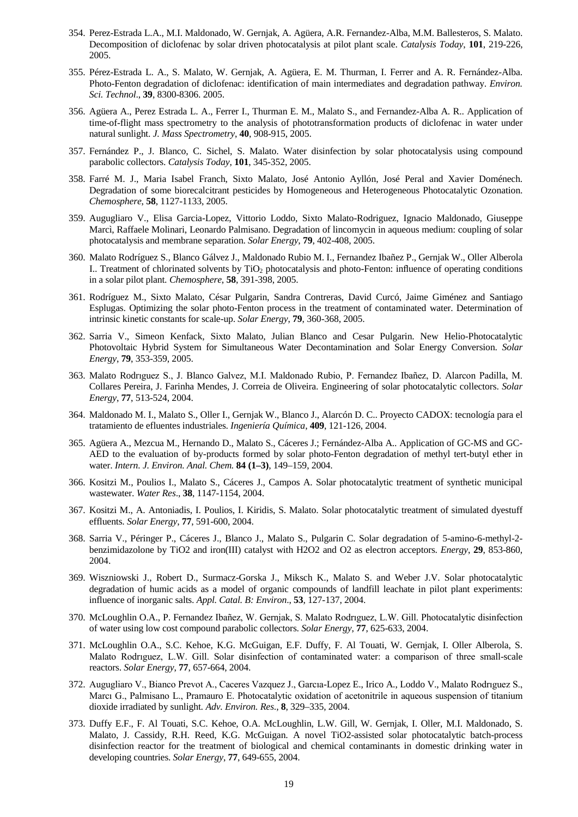- 354. Perez-Estrada L.A., M.I. Maldonado, W. Gernjak, A. Agüera, A.R. Fernandez-Alba, M.M. Ballesteros, S. Malato. Decomposition of diclofenac by solar driven photocatalysis at pilot plant scale. *Catalysis Today*, **101**, 219-226, 2005.
- 355. Pérez-Estrada L. A., S. Malato, W. Gernjak, A. Agüera, E. M. Thurman, I. Ferrer and A. R. Fernández-Alba. Photo-Fenton degradation of diclofenac: identification of main intermediates and degradation pathway. *Environ. Sci. Technol*., **39**, 8300-8306. 2005.
- 356. Agüera A., Perez Estrada L. A., Ferrer I., Thurman E. M., Malato S., and Fernandez-Alba A. R.. Application of time-of-flight mass spectrometry to the analysis of phototransformation products of diclofenac in water under natural sunlight. *J. Mass Spectrometry*, **40**, 908-915, 2005.
- 357. Fernández P., J. Blanco, C. Sichel, S. Malato. Water disinfection by solar photocatalysis using compound parabolic collectors. *Catalysis Today*, **101**, 345-352, 2005.
- 358. Farré M. J., Maria Isabel Franch, Sixto Malato, José Antonio Ayllón, José Peral and Xavier Doménech. Degradation of some biorecalcitrant pesticides by Homogeneous and Heterogeneous Photocatalytic Ozonation. *Chemosphere*, **58**, 1127-1133, 2005.
- 359. Augugliaro V., Elisa Garcia-Lopez, Vittorio Loddo, Sixto Malato-Rodriguez, Ignacio Maldonado, Giuseppe Marcì, Raffaele Molinari, Leonardo Palmisano. Degradation of lincomycin in aqueous medium: coupling of solar photocatalysis and membrane separation. *Solar Energy*, **79**, 402-408, 2005.
- 360. Malato Rodríguez S., Blanco Gálvez J., Maldonado Rubio M. I., Fernandez Ibañez P., Gernjak W., Oller Alberola I.. Treatment of chlorinated solvents by TiO2 photocatalysis and photo-Fenton: influence of operating conditions in a solar pilot plant. *Chemosphere*, **58**, 391-398, 2005.
- 361. Rodríguez M., Sixto Malato, César Pulgarin, Sandra Contreras, David Curcó, Jaime Giménez and Santiago Esplugas. Optimizing the solar photo-Fenton process in the treatment of contaminated water. Determination of intrinsic kinetic constants for scale-up. *Solar Energy*, **79**, 360-368, 2005.
- 362. Sarria V., Simeon Kenfack, Sixto Malato, Julian Blanco and Cesar Pulgarin. New Helio-Photocatalytic Photovoltaic Hybrid System for Simultaneous Water Decontamination and Solar Energy Conversion. *Solar Energy*, **79**, 353-359, 2005.
- 363. Malato Rodrıguez S., J. Blanco Galvez, M.I. Maldonado Rubio, P. Fernandez Ibañez, D. Alarcon Padilla, M. Collares Pereira, J. Farinha Mendes, J. Correia de Oliveira. Engineering of solar photocatalytic collectors. *Solar Energy*, **77**, 513-524, 2004.
- 364. Maldonado M. I., Malato S., Oller I., Gernjak W., Blanco J., Alarcón D. C.. Proyecto CADOX: tecnología para el tratamiento de efluentes industriales. *Ingeniería Química*, **409**, 121-126, 2004.
- 365. Agüera A., Mezcua M., Hernando D., Malato S., Cáceres J.; Fernández-Alba A.. Application of GC-MS and GC-AED to the evaluation of by-products formed by solar photo-Fenton degradation of methyl tert-butyl ether in water. *Intern. J. Environ. Anal. Chem.* **84 (1–3)**, 149–159, 2004.
- 366. Kositzi M., Poulios I., Malato S., Cáceres J., Campos A. Solar photocatalytic treatment of synthetic municipal wastewater. *Water Res*., **38**, 1147-1154, 2004.
- 367. Kositzi M., A. Antoniadis, I. Poulios, I. Kiridis, S. Malato. Solar photocatalytic treatment of simulated dyestuff effluents. *Solar Energy*, **77**, 591-600, 2004.
- 368. Sarria V., Péringer P., Cáceres J., Blanco J., Malato S., Pulgarin C. Solar degradation of 5-amino-6-methyl-2 benzimidazolone by TiO2 and iron(III) catalyst with H2O2 and O2 as electron acceptors. *Energy*, **29**, 853-860, 2004.
- 369. Wiszniowski J., Robert D., Surmacz-Gorska J., Miksch K., Malato S. and Weber J.V. Solar photocatalytic degradation of humic acids as a model of organic compounds of landfill leachate in pilot plant experiments: influence of inorganic salts. *Appl. Catal. B: Environ*., **53**, 127-137, 2004.
- 370. McLoughlin O.A., P. Fernandez Ibañez, W. Gernjak, S. Malato Rodrıguez, L.W. Gill. Photocatalytic disinfection of water using low cost compound parabolic collectors. *Solar Energy*, **77**, 625-633, 2004.
- 371. McLoughlin O.A., S.C. Kehoe, K.G. McGuigan, E.F. Duffy, F. Al Touati, W. Gernjak, I. Oller Alberola, S. Malato Rodrıguez, L.W. Gill. Solar disinfection of contaminated water: a comparison of three small-scale reactors. *Solar Energy*, **77**, 657-664, 2004.
- 372. Augugliaro V., Bianco Prevot A., Caceres Vazquez J., Garcıa-Lopez E., Irico A., Loddo V., Malato Rodrıguez S., Marcı G., Palmisano L., Pramauro E. Photocatalytic oxidation of acetonitrile in aqueous suspension of titanium dioxide irradiated by sunlight. *Adv. Environ. Res*., **8**, 329–335, 2004.
- 373. Duffy E.F., F. Al Touati, S.C. Kehoe, O.A. McLoughlin, L.W. Gill, W. Gernjak, I. Oller, M.I. Maldonado, S. Malato, J. Cassidy, R.H. Reed, K.G. McGuigan. A novel TiO2-assisted solar photocatalytic batch-process disinfection reactor for the treatment of biological and chemical contaminants in domestic drinking water in developing countries. *Solar Energy*, **77**, 649-655, 2004.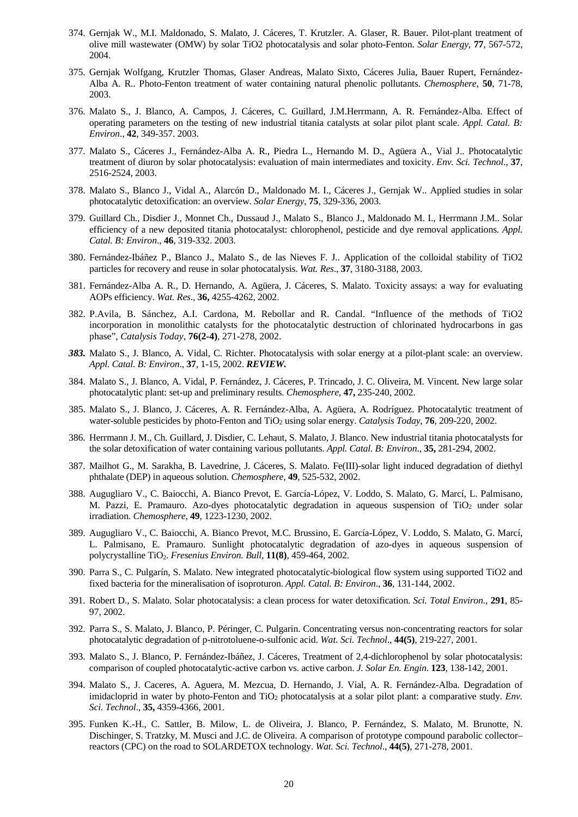- 374. Gernjak W., M.I. Maldonado, S. Malato, J. Cáceres, T. Krutzler. A. Glaser, R. Bauer. Pilot-plant treatment of olive mill wastewater (OMW) by solar TiO2 photocatalysis and solar photo-Fenton. *Solar Energy*, **77**, 567-572, 2004.
- 375. Gernjak Wolfgang, Krutzler Thomas, Glaser Andreas, Malato Sixto, Cáceres Julia, Bauer Rupert, Fernández-Alba A. R.. Photo-Fenton treatment of water containing natural phenolic pollutants. *Chemosphere*, **50**, 71-78, 2003.
- 376. Malato S., J. Blanco, A. Campos, J. Cáceres, C. Guillard, J.M.Herrmann, A. R. Fernández-Alba. Effect of operating parameters on the testing of new industrial titania catalysts at solar pilot plant scale. *Appl. Catal. B: Environ*., **42**, 349-357. 2003.
- 377. Malato S., Cáceres J., Fernández-Alba A. R., Piedra L., Hernando M. D., Agüera A., Vial J.. Photocatalytic treatment of diuron by solar photocatalysis: evaluation of main intermediates and toxicity. *Env. Sci. Technol*., **37**, 2516-2524, 2003.
- 378. Malato S., Blanco J., Vidal A., Alarcón D., Maldonado M. I., Cáceres J., Gernjak W.. Applied studies in solar photocatalytic detoxification: an overview. *Solar Energy*, **75**, 329-336, 2003.
- 379. Guillard Ch., Disdier J., Monnet Ch., Dussaud J., Malato S., Blanco J., Maldonado M. I., Herrmann J.M.. Solar efficiency of a new deposited titania photocatalyst: chlorophenol, pesticide and dye removal applications. *Appl. Catal. B: Environ*., **46**, 319-332. 2003.
- 380. Fernández-Ibáñez P., Blanco J., Malato S., de las Nieves F. J.. Application of the colloidal stability of TiO2 particles for recovery and reuse in solar photocatalysis. *Wat. Res*., **37**, 3180-3188, 2003.
- 381. Fernández-Alba A. R., D. Hernando, A. Agüera, J. Cáceres, S. Malato. Toxicity assays: a way for evaluating AOPs efficiency. *Wat. Res*., **36,** 4255-4262, 2002.
- 382. P.Avila, B. Sánchez, A.I. Cardona, M. Rebollar and R. Candal. "Influence of the methods of TiO2 incorporation in monolithic catalysts for the photocatalytic destruction of chlorinated hydrocarbons in gas phase", *Catalysis Today*, **76(2-4)**, 271-278, 2002.
- *383.* Malato S., J. Blanco, A. Vidal, C. Richter. Photocatalysis with solar energy at a pilot-plant scale: an overview. *Appl. Catal. B: Environ*., **37**, 1-15, 2002. *REVIEW.*
- 384. Malato S., J. Blanco, A. Vidal, P. Fernández, J. Cáceres, P. Trincado, J. C. Oliveira, M. Vincent. New large solar photocatalytic plant: set-up and preliminary results. *Chemosphere*, **47,** 235-240, 2002.
- 385. Malato S., J. Blanco, J. Cáceres, A. R. Fernández-Alba, A. Agüera, A. Rodríguez. Photocatalytic treatment of water-soluble pesticides by photo-Fenton and TiO<sub>2</sub> using solar energy. *Catalysis Today*, **76**, 209-220, 2002.
- 386. Herrmann J. M., Ch. Guillard, J. Disdier, C. Lehaut, S. Malato, J. Blanco. New industrial titania photocatalysts for the solar detoxification of water containing various pollutants. *Appl. Catal. B: Environ*., **35,** 281-294, 2002.
- 387. Mailhot G., M. Sarakha, B. Lavedrine, J. Cáceres, S. Malato. Fe(III)-solar light induced degradation of diethyl phthalate (DEP) in aqueous solution. *Chemosphere*, **49**, 525-532, 2002.
- 388. Augugliaro V., C. Baiocchi, A. Bianco Prevot, E. García-López, V. Loddo, S. Malato, G. Marcí, L. Palmisano, M. Pazzi, E. Pramauro. Azo-dyes photocatalytic degradation in aqueous suspension of TiO<sub>2</sub> under solar irradiation. *Chemosphere*, **49**, 1223-1230, 2002.
- 389. Augugliaro V., C. Baiocchi, A. Bianco Prevot, M.C. Brussino, E. García-López, V. Loddo, S. Malato, G. Marcí, L. Palmisano, E. Pramauro. Sunlight photocatalytic degradation of azo-dyes in aqueous suspension of polycrystalline TiO2. *Fresenius Environ. Bull*, **11(8)**, 459-464, 2002.
- 390. Parra S., C. Pulgarín, S. Malato. New integrated photocatalytic-biological flow system using supported TiO2 and fixed bacteria for the mineralisation of isoproturon. *Appl. Catal. B: Environ*., **36**, 131-144, 2002.
- 391. Robert D., S. Malato. Solar photocatalysis: a clean process for water detoxification. *Sci. Total Environ.,* **291**, 85- 97, 2002.
- 392. Parra S., S. Malato, J. Blanco, P. Péringer, C. Pulgarin. Concentrating versus non-concentrating reactors for solar photocatalytic degradation of p-nitrotoluene-o-sulfonic acid. *Wat. Sci. Technol*., **44(5)**, 219-227, 2001.
- 393. Malato S., J. Blanco, P. Fernández-Ibáñez, J. Cáceres, Treatment of 2,4-dichlorophenol by solar photocatalysis: comparison of coupled photocatalytic-active carbon vs. active carbon. *J. Solar En. Engin*. **123**, 138-142, 2001.
- 394. Malato S., J. Caceres, A. Aguera, M. Mezcua, D. Hernando, J. Vial, A. R. Fernández-Alba. Degradation of imidacloprid in water by photo-Fenton and TiO<sub>2</sub> photocatalysis at a solar pilot plant: a comparative study. *Env. Sci. Technol*., **35,** 4359-4366, 2001.
- 395. Funken K.-H., C. Sattler, B. Milow, L. de Oliveira, J. Blanco, P. Fernández, S. Malato, M. Brunotte, N. Dischinger, S. Tratzky, M. Musci and J.C. de Oliveira. A comparison of prototype compound parabolic collector– reactors (CPC) on the road to SOLARDETOX technology. *Wat. Sci. Technol*., **44(5)**, 271-278, 2001.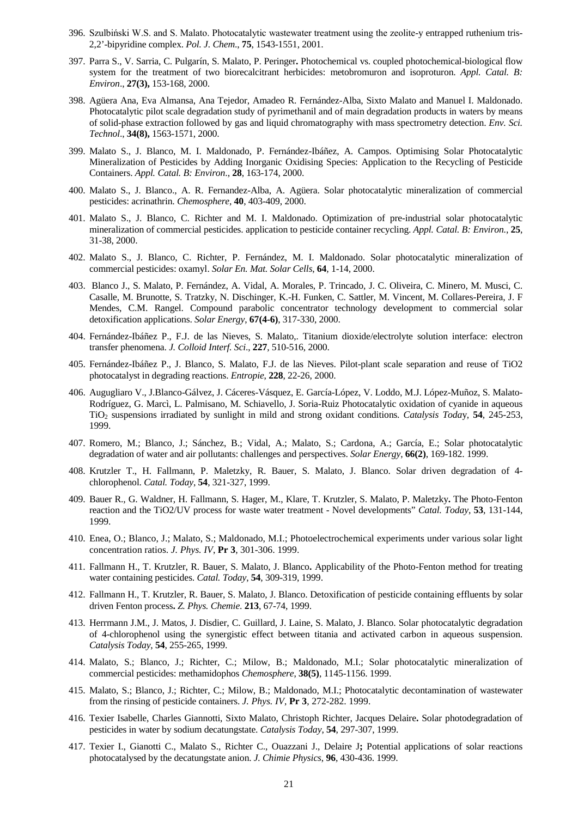- 396. Szulbiński W.S. and S. Malato. Photocatalytic wastewater treatment using the zeolite-y entrapped ruthenium tris-2,2'-bipyridine complex. *Pol. J. Chem*., **75**, 1543-1551, 2001.
- 397. Parra S., V. Sarria, C. Pulgarín, S. Malato, P. Peringer**.** Photochemical vs. coupled photochemical-biological flow system for the treatment of two biorecalcitrant herbicides: metobromuron and isoproturon. *Appl. Catal. B: Environ*., **27(3),** 153-168, 2000.
- 398. Agüera Ana, Eva Almansa, Ana Tejedor, Amadeo R. Fernández-Alba, Sixto Malato and Manuel I. Maldonado. Photocatalytic pilot scale degradation study of pyrimethanil and of main degradation products in waters by means of solid-phase extraction followed by gas and liquid chromatography with mass spectrometry detection. *Env. Sci. Technol*., **34(8),** 1563-1571, 2000.
- 399. Malato S., J. Blanco, M. I. Maldonado, P. Fernández-Ibáñez, A. Campos. Optimising Solar Photocatalytic Mineralization of Pesticides by Adding Inorganic Oxidising Species: Application to the Recycling of Pesticide Containers. *Appl. Catal. B: Environ*., **28**, 163-174, 2000.
- 400. Malato S., J. Blanco., A. R. Fernandez-Alba, A. Agüera. Solar photocatalytic mineralization of commercial pesticides: acrinathrin. *Chemosphere*, **40**, 403-409, 2000.
- 401. Malato S., J. Blanco, C. Richter and M. I. Maldonado. Optimization of pre-industrial solar photocatalytic mineralization of commercial pesticides. application to pesticide container recycling. *Appl. Catal. B: Environ.*, **25**, 31-38, 2000.
- 402. Malato S., J. Blanco, C. Richter, P. Fernández, M. I. Maldonado. Solar photocatalytic mineralization of commercial pesticides: oxamyl. *Solar En. Mat. Solar Cells*, **64**, 1-14, 2000.
- 403. Blanco J., S. Malato, P. Fernández, A. Vidal, A. Morales, P. Trincado, J. C. Oliveira, C. Minero, M. Musci, C. Casalle, M. Brunotte, S. Tratzky, N. Dischinger, K.-H. Funken, C. Sattler, M. Vincent, M. Collares-Pereira, J. F Mendes, C.M. Rangel. Compound parabolic concentrator technology development to commercial solar detoxification applications. *Solar Energy*, **67(4-6)**, 317-330, 2000.
- 404. Fernández-Ibáñez P., F.J. de las Nieves, S. Malato,. Titanium dioxide/electrolyte solution interface: electron transfer phenomena. *J. Colloid Interf. Sci*., **227**, 510-516, 2000.
- 405. Fernández-Ibáñez P., J. Blanco, S. Malato, F.J. de las Nieves. Pilot-plant scale separation and reuse of TiO2 photocatalyst in degrading reactions. *Entropie*, **228**, 22-26, 2000.
- 406. Augugliaro V., J.Blanco-Gálvez, J. Cáceres-Vásquez, E. García-López, V. Loddo, M.J. López-Muñoz, S. Malato-Rodríguez, G. Marcì, L. Palmisano, M. Schiavello, J. Soria-Ruiz Photocatalytic oxidation of cyanide in aqueous TiO2 suspensions irradiated by sunlight in mild and strong oxidant conditions. *Catalysis Toda*y, **54**, 245-253, 1999.
- 407. Romero, M.; Blanco, J.; Sánchez, B.; Vidal, A.; Malato, S.; Cardona, A.; García, E.; Solar photocatalytic degradation of water and air pollutants: challenges and perspectives. *Solar Energy*, **66(2)**, 169-182. 1999.
- 408. Krutzler T., H. Fallmann, P. Maletzky, R. Bauer, S. Malato, J. Blanco. Solar driven degradation of 4 chlorophenol. *Catal. Today*, **54**, 321-327, 1999.
- 409. Bauer R., G. Waldner, H. Fallmann, S. Hager, M., Klare, T. Krutzler, S. Malato, P. Maletzky**.** The Photo-Fenton reaction and the TiO2/UV process for waste water treatment - Novel developments" *Catal. Today*, **53**, 131-144, 1999.
- 410. Enea, O.; Blanco, J.; Malato, S.; Maldonado, M.I.; Photoelectrochemical experiments under various solar light concentration ratios. *J. Phys. IV*, **Pr 3**, 301-306. 1999.
- 411. Fallmann H., T. Krutzler, R. Bauer, S. Malato, J. Blanco**.** Applicability of the Photo-Fenton method for treating water containing pesticides. *Catal. Today*, **54**, 309-319, 1999.
- 412. Fallmann H., T. Krutzler, R. Bauer, S. Malato, J. Blanco. Detoxification of pesticide containing effluents by solar driven Fenton process**.** *Z. Phys. Chemie*. **213**, 67-74, 1999.
- 413. Herrmann J.M., J. Matos, J. Disdier, C. Guillard, J. Laine, S. Malato, J. Blanco. Solar photocatalytic degradation of 4-chlorophenol using the synergistic effect between titania and activated carbon in aqueous suspension. *Catalysis Today*, **54**, 255-265, 1999.
- 414. Malato, S.; Blanco, J.; Richter, C.; Milow, B.; Maldonado, M.I.; Solar photocatalytic mineralization of commercial pesticides: methamidophos *Chemosphere*, **38(5)**, 1145-1156. 1999.
- 415. Malato, S.; Blanco, J.; Richter, C.; Milow, B.; Maldonado, M.I.; Photocatalytic decontamination of wastewater from the rinsing of pesticide containers. *J. Phys. IV*, **Pr 3**, 272-282. 1999.
- 416. Texier Isabelle, Charles Giannotti, Sixto Malato, Christoph Richter, Jacques Delaire**.** Solar photodegradation of pesticides in water by sodium decatungstate. *Catalysis Today*, **54**, 297-307, 1999.
- 417. Texier I., Gianotti C., Malato S., Richter C., Ouazzani J., Delaire J**;** Potential applications of solar reactions photocatalysed by the decatungstate anion. *J. Chimie Physics*, **96**, 430-436. 1999.